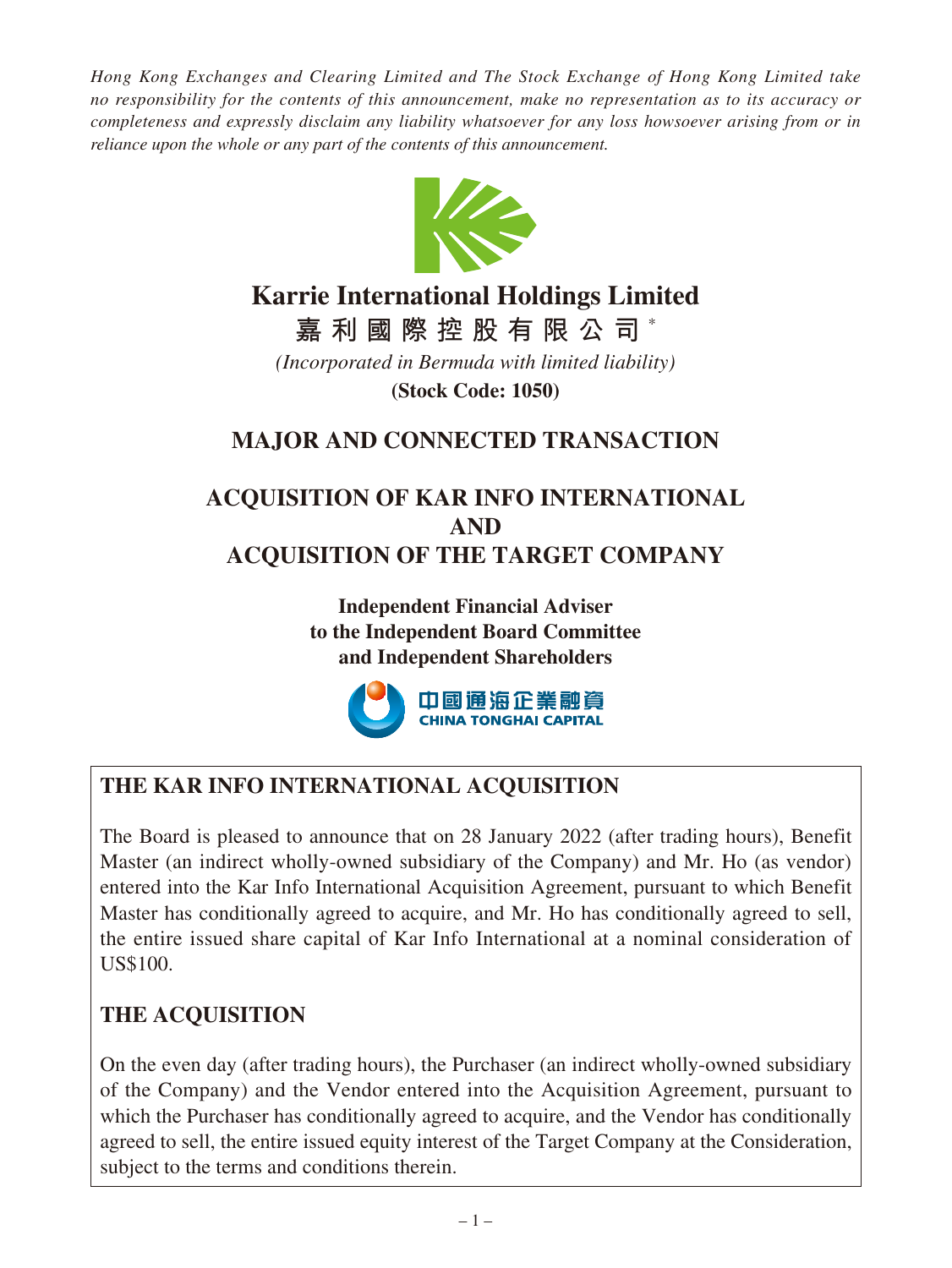*Hong Kong Exchanges and Clearing Limited and The Stock Exchange of Hong Kong Limited take no responsibility for the contents of this announcement, make no representation as to its accuracy or completeness and expressly disclaim any liability whatsoever for any loss howsoever arising from or in reliance upon the whole or any part of the contents of this announcement.*



# **Karrie International Holdings Limited**

**嘉利國際控股有限公司** \*

*(Incorporated in Bermuda with limited liability)* **(Stock Code: 1050)**

# **MAJOR AND CONNECTED TRANSACTION**

# **ACQUISITION OF KAR INFO INTERNATIONAL AND ACQUISITION OF THE TARGET COMPANY**

**Independent Financial Adviser to the Independent Board Committee and Independent Shareholders**



# **THE KAR INFO INTERNATIONAL ACQUISITION**

The Board is pleased to announce that on 28 January 2022 (after trading hours), Benefit Master (an indirect wholly-owned subsidiary of the Company) and Mr. Ho (as vendor) entered into the Kar Info International Acquisition Agreement, pursuant to which Benefit Master has conditionally agreed to acquire, and Mr. Ho has conditionally agreed to sell, the entire issued share capital of Kar Info International at a nominal consideration of US\$100.

# **THE ACQUISITION**

On the even day (after trading hours), the Purchaser (an indirect wholly-owned subsidiary of the Company) and the Vendor entered into the Acquisition Agreement, pursuant to which the Purchaser has conditionally agreed to acquire, and the Vendor has conditionally agreed to sell, the entire issued equity interest of the Target Company at the Consideration, subject to the terms and conditions therein.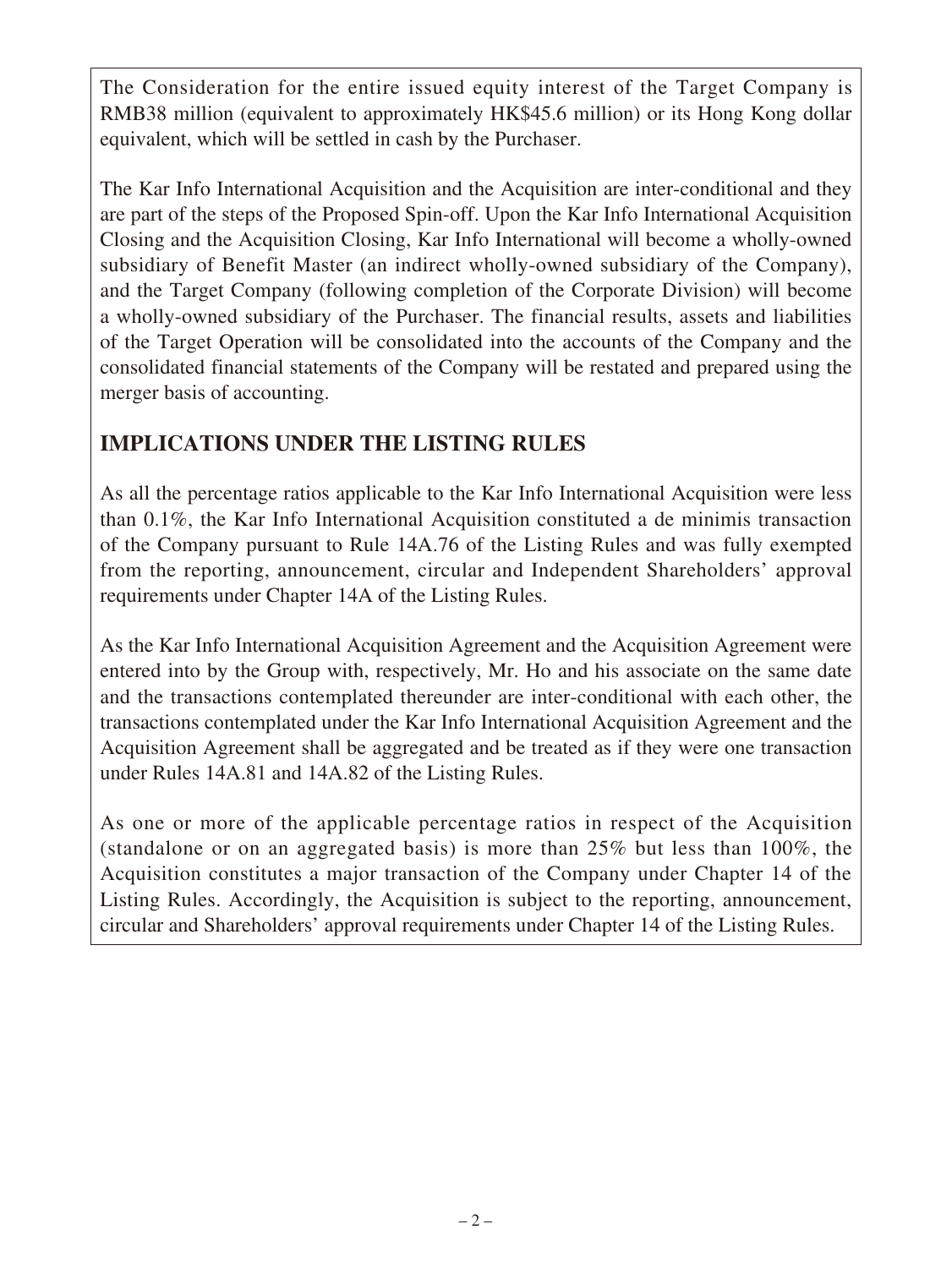The Consideration for the entire issued equity interest of the Target Company is RMB38 million (equivalent to approximately HK\$45.6 million) or its Hong Kong dollar equivalent, which will be settled in cash by the Purchaser.

The Kar Info International Acquisition and the Acquisition are inter-conditional and they are part of the steps of the Proposed Spin-off. Upon the Kar Info International Acquisition Closing and the Acquisition Closing, Kar Info International will become a wholly-owned subsidiary of Benefit Master (an indirect wholly-owned subsidiary of the Company), and the Target Company (following completion of the Corporate Division) will become a wholly-owned subsidiary of the Purchaser. The financial results, assets and liabilities of the Target Operation will be consolidated into the accounts of the Company and the consolidated financial statements of the Company will be restated and prepared using the merger basis of accounting.

# **IMPLICATIONS UNDER THE LISTING RULES**

As all the percentage ratios applicable to the Kar Info International Acquisition were less than 0.1%, the Kar Info International Acquisition constituted a de minimis transaction of the Company pursuant to Rule 14A.76 of the Listing Rules and was fully exempted from the reporting, announcement, circular and Independent Shareholders' approval requirements under Chapter 14A of the Listing Rules.

As the Kar Info International Acquisition Agreement and the Acquisition Agreement were entered into by the Group with, respectively, Mr. Ho and his associate on the same date and the transactions contemplated thereunder are inter-conditional with each other, the transactions contemplated under the Kar Info International Acquisition Agreement and the Acquisition Agreement shall be aggregated and be treated as if they were one transaction under Rules 14A.81 and 14A.82 of the Listing Rules.

As one or more of the applicable percentage ratios in respect of the Acquisition (standalone or on an aggregated basis) is more than 25% but less than 100%, the Acquisition constitutes a major transaction of the Company under Chapter 14 of the Listing Rules. Accordingly, the Acquisition is subject to the reporting, announcement, circular and Shareholders' approval requirements under Chapter 14 of the Listing Rules.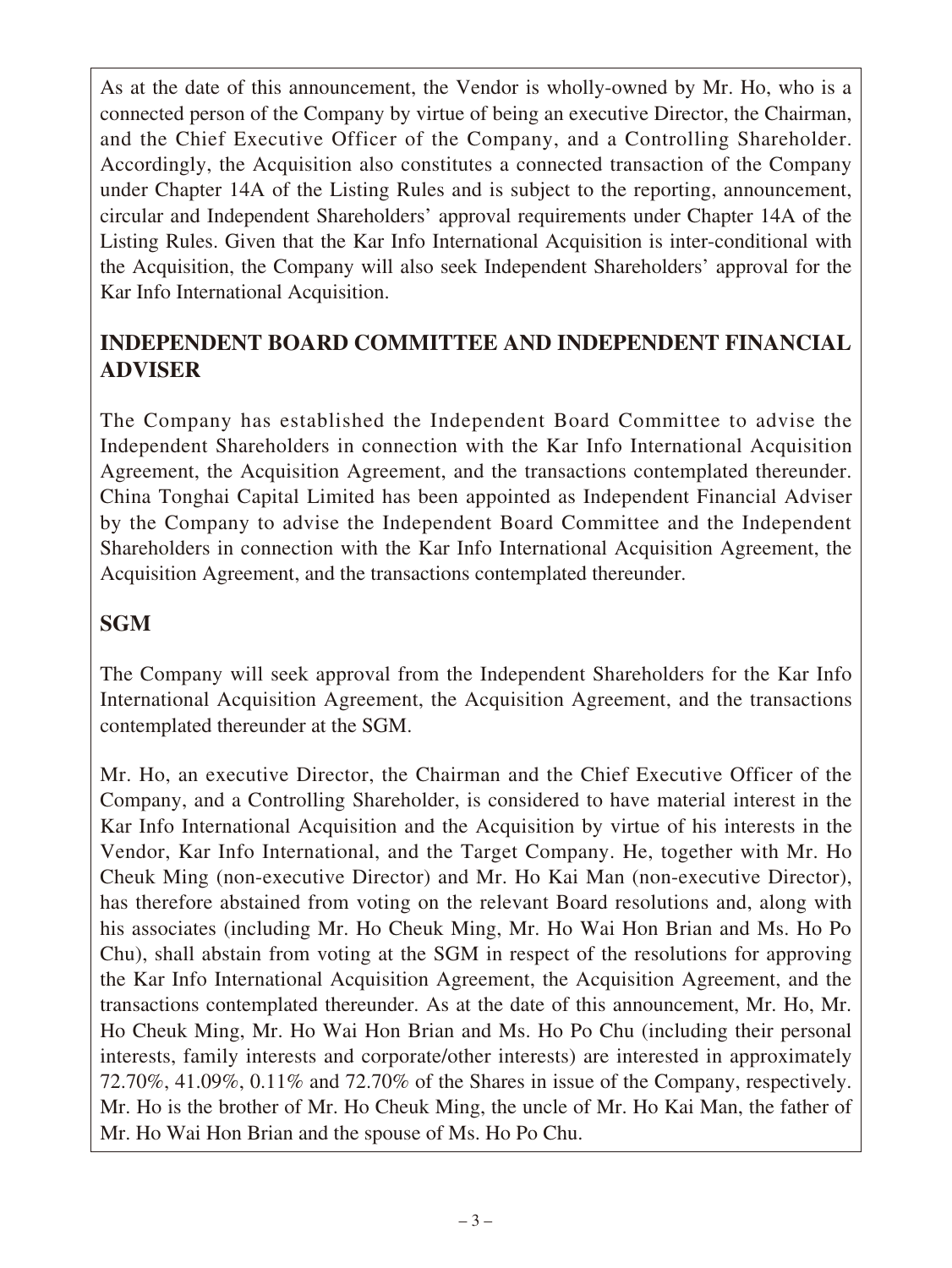As at the date of this announcement, the Vendor is wholly-owned by Mr. Ho, who is a connected person of the Company by virtue of being an executive Director, the Chairman, and the Chief Executive Officer of the Company, and a Controlling Shareholder. Accordingly, the Acquisition also constitutes a connected transaction of the Company under Chapter 14A of the Listing Rules and is subject to the reporting, announcement, circular and Independent Shareholders' approval requirements under Chapter 14A of the Listing Rules. Given that the Kar Info International Acquisition is inter-conditional with the Acquisition, the Company will also seek Independent Shareholders' approval for the Kar Info International Acquisition.

## **INDEPENDENT BOARD COMMITTEE AND INDEPENDENT FINANCIAL ADVISER**

The Company has established the Independent Board Committee to advise the Independent Shareholders in connection with the Kar Info International Acquisition Agreement, the Acquisition Agreement, and the transactions contemplated thereunder. China Tonghai Capital Limited has been appointed as Independent Financial Adviser by the Company to advise the Independent Board Committee and the Independent Shareholders in connection with the Kar Info International Acquisition Agreement, the Acquisition Agreement, and the transactions contemplated thereunder.

## **SGM**

The Company will seek approval from the Independent Shareholders for the Kar Info International Acquisition Agreement, the Acquisition Agreement, and the transactions contemplated thereunder at the SGM.

Mr. Ho, an executive Director, the Chairman and the Chief Executive Officer of the Company, and a Controlling Shareholder, is considered to have material interest in the Kar Info International Acquisition and the Acquisition by virtue of his interests in the Vendor, Kar Info International, and the Target Company. He, together with Mr. Ho Cheuk Ming (non-executive Director) and Mr. Ho Kai Man (non-executive Director), has therefore abstained from voting on the relevant Board resolutions and, along with his associates (including Mr. Ho Cheuk Ming, Mr. Ho Wai Hon Brian and Ms. Ho Po Chu), shall abstain from voting at the SGM in respect of the resolutions for approving the Kar Info International Acquisition Agreement, the Acquisition Agreement, and the transactions contemplated thereunder. As at the date of this announcement, Mr. Ho, Mr. Ho Cheuk Ming, Mr. Ho Wai Hon Brian and Ms. Ho Po Chu (including their personal interests, family interests and corporate/other interests) are interested in approximately 72.70%, 41.09%, 0.11% and 72.70% of the Shares in issue of the Company, respectively. Mr. Ho is the brother of Mr. Ho Cheuk Ming, the uncle of Mr. Ho Kai Man, the father of Mr. Ho Wai Hon Brian and the spouse of Ms. Ho Po Chu.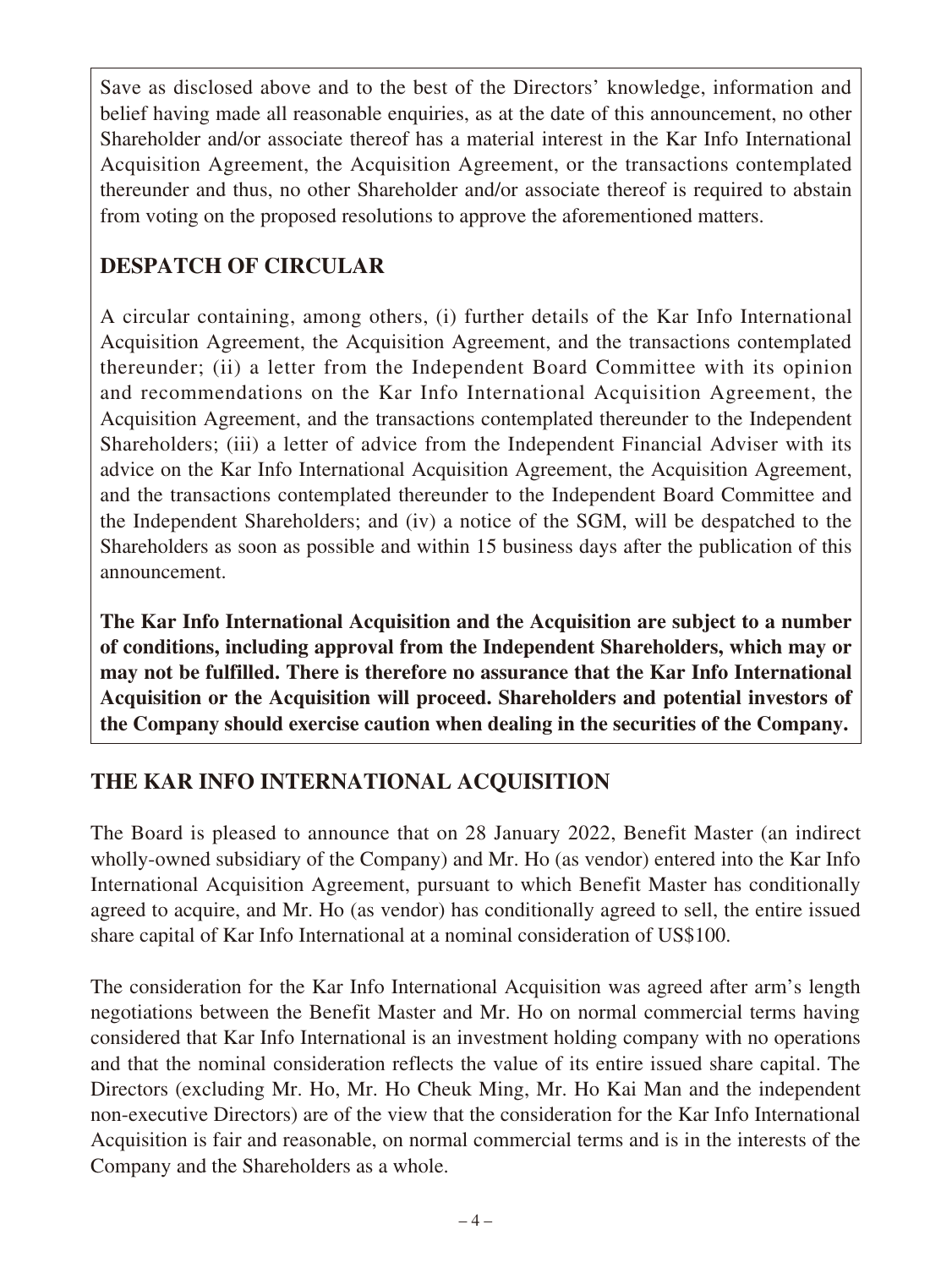Save as disclosed above and to the best of the Directors' knowledge, information and belief having made all reasonable enquiries, as at the date of this announcement, no other Shareholder and/or associate thereof has a material interest in the Kar Info International Acquisition Agreement, the Acquisition Agreement, or the transactions contemplated thereunder and thus, no other Shareholder and/or associate thereof is required to abstain from voting on the proposed resolutions to approve the aforementioned matters.

## **DESPATCH OF CIRCULAR**

A circular containing, among others, (i) further details of the Kar Info International Acquisition Agreement, the Acquisition Agreement, and the transactions contemplated thereunder; (ii) a letter from the Independent Board Committee with its opinion and recommendations on the Kar Info International Acquisition Agreement, the Acquisition Agreement, and the transactions contemplated thereunder to the Independent Shareholders; (iii) a letter of advice from the Independent Financial Adviser with its advice on the Kar Info International Acquisition Agreement, the Acquisition Agreement, and the transactions contemplated thereunder to the Independent Board Committee and the Independent Shareholders; and (iv) a notice of the SGM, will be despatched to the Shareholders as soon as possible and within 15 business days after the publication of this announcement.

**The Kar Info International Acquisition and the Acquisition are subject to a number of conditions, including approval from the Independent Shareholders, which may or may not be fulfilled. There is therefore no assurance that the Kar Info International Acquisition or the Acquisition will proceed. Shareholders and potential investors of the Company should exercise caution when dealing in the securities of the Company.**

# **THE KAR INFO INTERNATIONAL ACQUISITION**

The Board is pleased to announce that on 28 January 2022, Benefit Master (an indirect wholly-owned subsidiary of the Company) and Mr. Ho (as vendor) entered into the Kar Info International Acquisition Agreement, pursuant to which Benefit Master has conditionally agreed to acquire, and Mr. Ho (as vendor) has conditionally agreed to sell, the entire issued share capital of Kar Info International at a nominal consideration of US\$100.

The consideration for the Kar Info International Acquisition was agreed after arm's length negotiations between the Benefit Master and Mr. Ho on normal commercial terms having considered that Kar Info International is an investment holding company with no operations and that the nominal consideration reflects the value of its entire issued share capital. The Directors (excluding Mr. Ho, Mr. Ho Cheuk Ming, Mr. Ho Kai Man and the independent non-executive Directors) are of the view that the consideration for the Kar Info International Acquisition is fair and reasonable, on normal commercial terms and is in the interests of the Company and the Shareholders as a whole.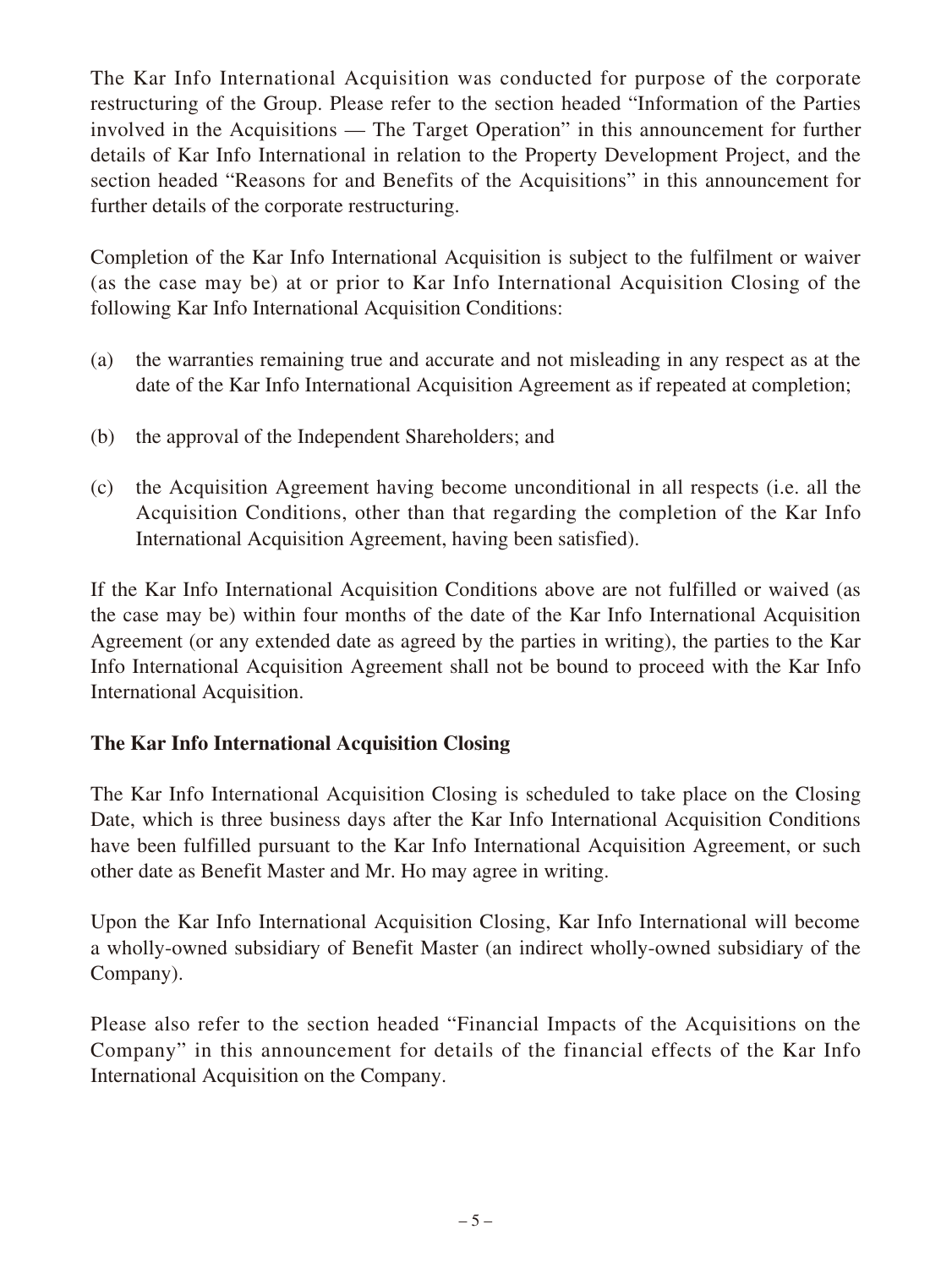The Kar Info International Acquisition was conducted for purpose of the corporate restructuring of the Group. Please refer to the section headed "Information of the Parties involved in the Acquisitions — The Target Operation" in this announcement for further details of Kar Info International in relation to the Property Development Project, and the section headed "Reasons for and Benefits of the Acquisitions" in this announcement for further details of the corporate restructuring.

Completion of the Kar Info International Acquisition is subject to the fulfilment or waiver (as the case may be) at or prior to Kar Info International Acquisition Closing of the following Kar Info International Acquisition Conditions:

- (a) the warranties remaining true and accurate and not misleading in any respect as at the date of the Kar Info International Acquisition Agreement as if repeated at completion;
- (b) the approval of the Independent Shareholders; and
- (c) the Acquisition Agreement having become unconditional in all respects (i.e. all the Acquisition Conditions, other than that regarding the completion of the Kar Info International Acquisition Agreement, having been satisfied).

If the Kar Info International Acquisition Conditions above are not fulfilled or waived (as the case may be) within four months of the date of the Kar Info International Acquisition Agreement (or any extended date as agreed by the parties in writing), the parties to the Kar Info International Acquisition Agreement shall not be bound to proceed with the Kar Info International Acquisition.

### **The Kar Info International Acquisition Closing**

The Kar Info International Acquisition Closing is scheduled to take place on the Closing Date, which is three business days after the Kar Info International Acquisition Conditions have been fulfilled pursuant to the Kar Info International Acquisition Agreement, or such other date as Benefit Master and Mr. Ho may agree in writing.

Upon the Kar Info International Acquisition Closing, Kar Info International will become a wholly-owned subsidiary of Benefit Master (an indirect wholly-owned subsidiary of the Company).

Please also refer to the section headed "Financial Impacts of the Acquisitions on the Company" in this announcement for details of the financial effects of the Kar Info International Acquisition on the Company.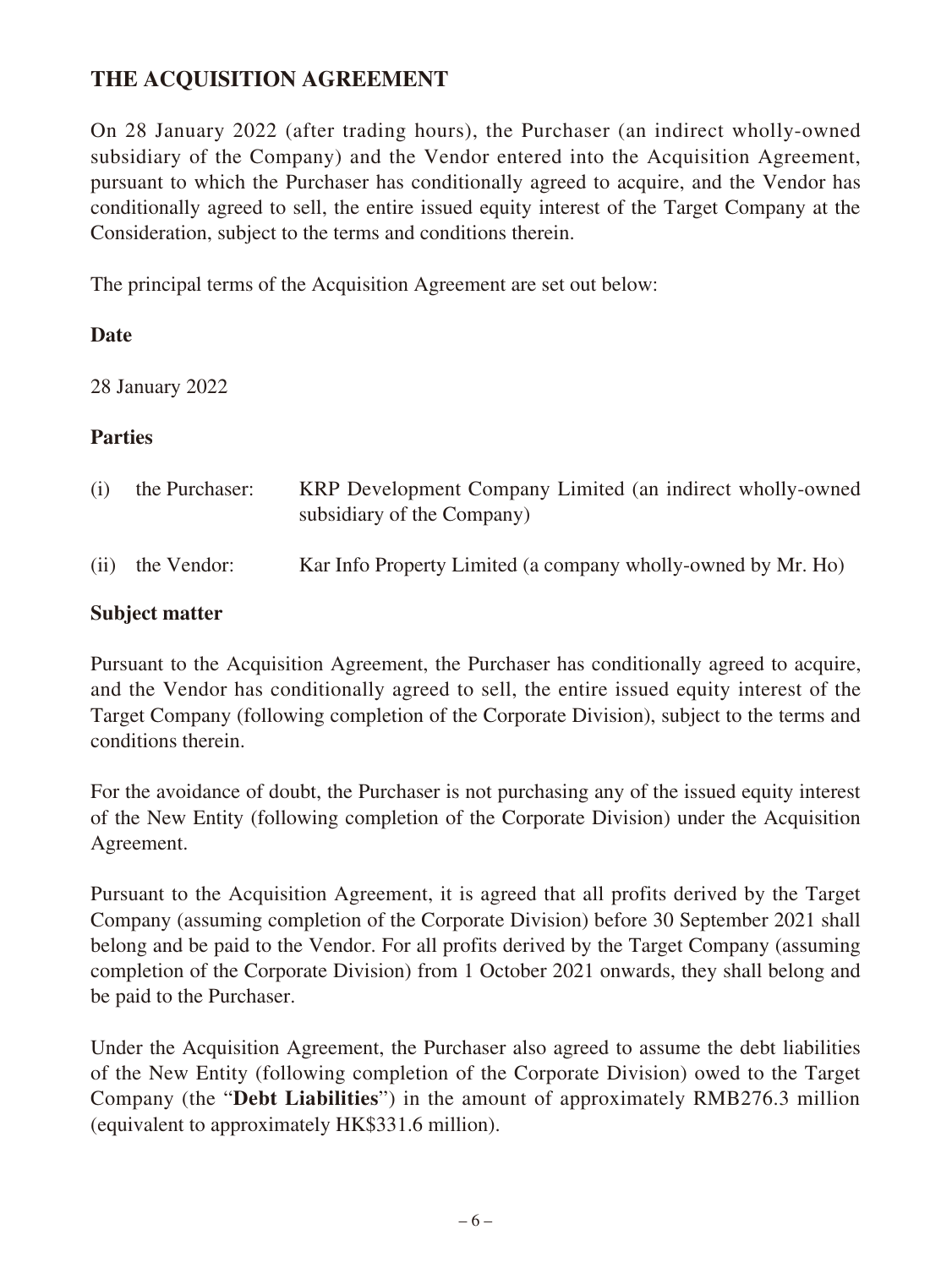### **THE ACQUISITION AGREEMENT**

On 28 January 2022 (after trading hours), the Purchaser (an indirect wholly-owned subsidiary of the Company) and the Vendor entered into the Acquisition Agreement, pursuant to which the Purchaser has conditionally agreed to acquire, and the Vendor has conditionally agreed to sell, the entire issued equity interest of the Target Company at the Consideration, subject to the terms and conditions therein.

The principal terms of the Acquisition Agreement are set out below:

#### **Date**

28 January 2022

### **Parties**

| (i) | the Purchaser:   | KRP Development Company Limited (an indirect wholly-owned<br>subsidiary of the Company) |
|-----|------------------|-----------------------------------------------------------------------------------------|
|     | (ii) the Vendor: | Kar Info Property Limited (a company wholly-owned by Mr. Ho)                            |

### **Subject matter**

Pursuant to the Acquisition Agreement, the Purchaser has conditionally agreed to acquire, and the Vendor has conditionally agreed to sell, the entire issued equity interest of the Target Company (following completion of the Corporate Division), subject to the terms and conditions therein.

For the avoidance of doubt, the Purchaser is not purchasing any of the issued equity interest of the New Entity (following completion of the Corporate Division) under the Acquisition Agreement.

Pursuant to the Acquisition Agreement, it is agreed that all profits derived by the Target Company (assuming completion of the Corporate Division) before 30 September 2021 shall belong and be paid to the Vendor. For all profits derived by the Target Company (assuming completion of the Corporate Division) from 1 October 2021 onwards, they shall belong and be paid to the Purchaser.

Under the Acquisition Agreement, the Purchaser also agreed to assume the debt liabilities of the New Entity (following completion of the Corporate Division) owed to the Target Company (the "**Debt Liabilities**") in the amount of approximately RMB276.3 million (equivalent to approximately HK\$331.6 million).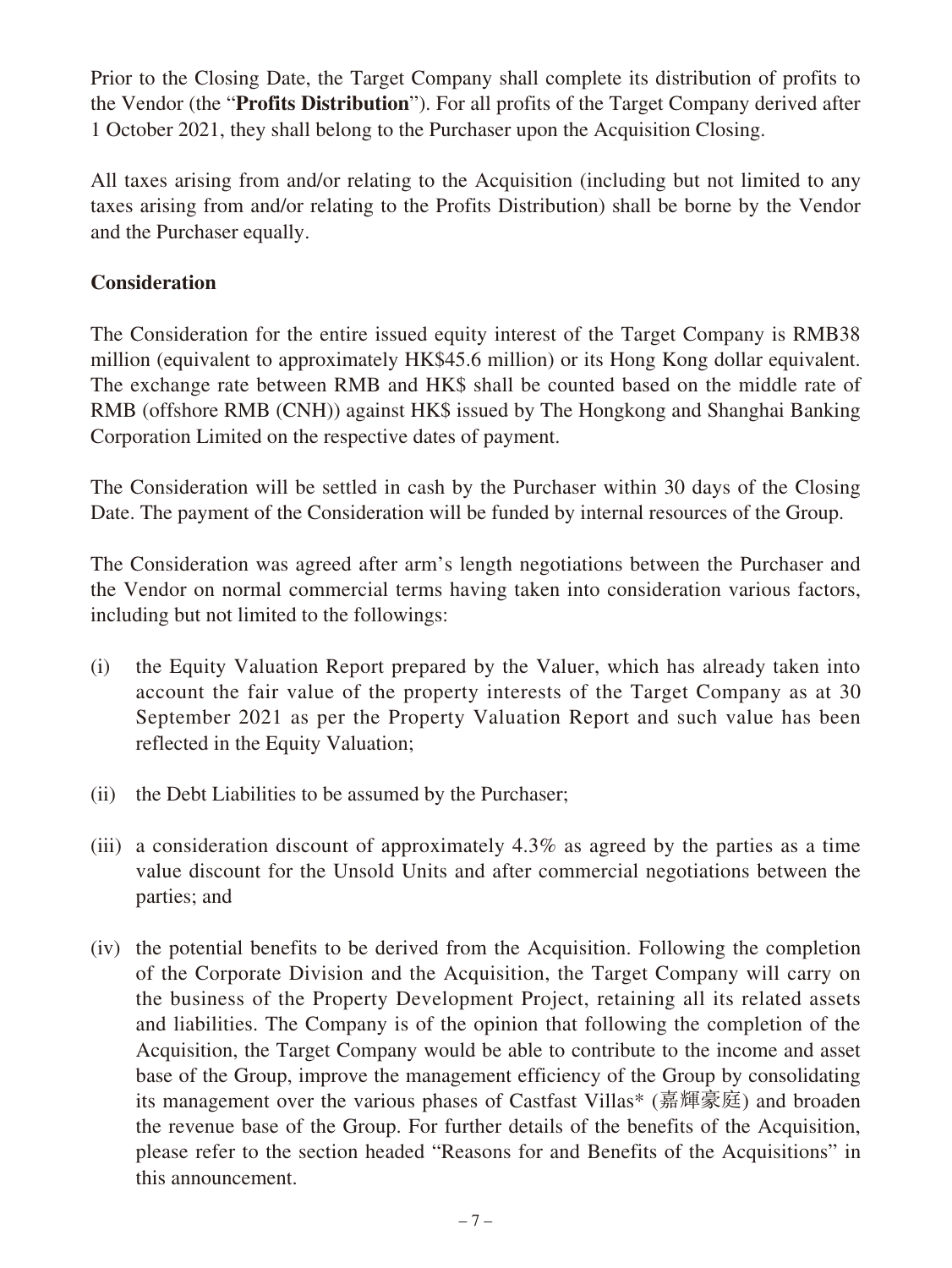Prior to the Closing Date, the Target Company shall complete its distribution of profits to the Vendor (the "**Profits Distribution**"). For all profits of the Target Company derived after 1 October 2021, they shall belong to the Purchaser upon the Acquisition Closing.

All taxes arising from and/or relating to the Acquisition (including but not limited to any taxes arising from and/or relating to the Profits Distribution) shall be borne by the Vendor and the Purchaser equally.

### **Consideration**

The Consideration for the entire issued equity interest of the Target Company is RMB38 million (equivalent to approximately HK\$45.6 million) or its Hong Kong dollar equivalent. The exchange rate between RMB and HK\$ shall be counted based on the middle rate of RMB (offshore RMB (CNH)) against HK\$ issued by The Hongkong and Shanghai Banking Corporation Limited on the respective dates of payment.

The Consideration will be settled in cash by the Purchaser within 30 days of the Closing Date. The payment of the Consideration will be funded by internal resources of the Group.

The Consideration was agreed after arm's length negotiations between the Purchaser and the Vendor on normal commercial terms having taken into consideration various factors, including but not limited to the followings:

- (i) the Equity Valuation Report prepared by the Valuer, which has already taken into account the fair value of the property interests of the Target Company as at 30 September 2021 as per the Property Valuation Report and such value has been reflected in the Equity Valuation;
- (ii) the Debt Liabilities to be assumed by the Purchaser;
- (iii) a consideration discount of approximately 4.3% as agreed by the parties as a time value discount for the Unsold Units and after commercial negotiations between the parties; and
- (iv) the potential benefits to be derived from the Acquisition. Following the completion of the Corporate Division and the Acquisition, the Target Company will carry on the business of the Property Development Project, retaining all its related assets and liabilities. The Company is of the opinion that following the completion of the Acquisition, the Target Company would be able to contribute to the income and asset base of the Group, improve the management efficiency of the Group by consolidating its management over the various phases of Castfast Villas\* (嘉輝豪庭) and broaden the revenue base of the Group. For further details of the benefits of the Acquisition, please refer to the section headed "Reasons for and Benefits of the Acquisitions" in this announcement.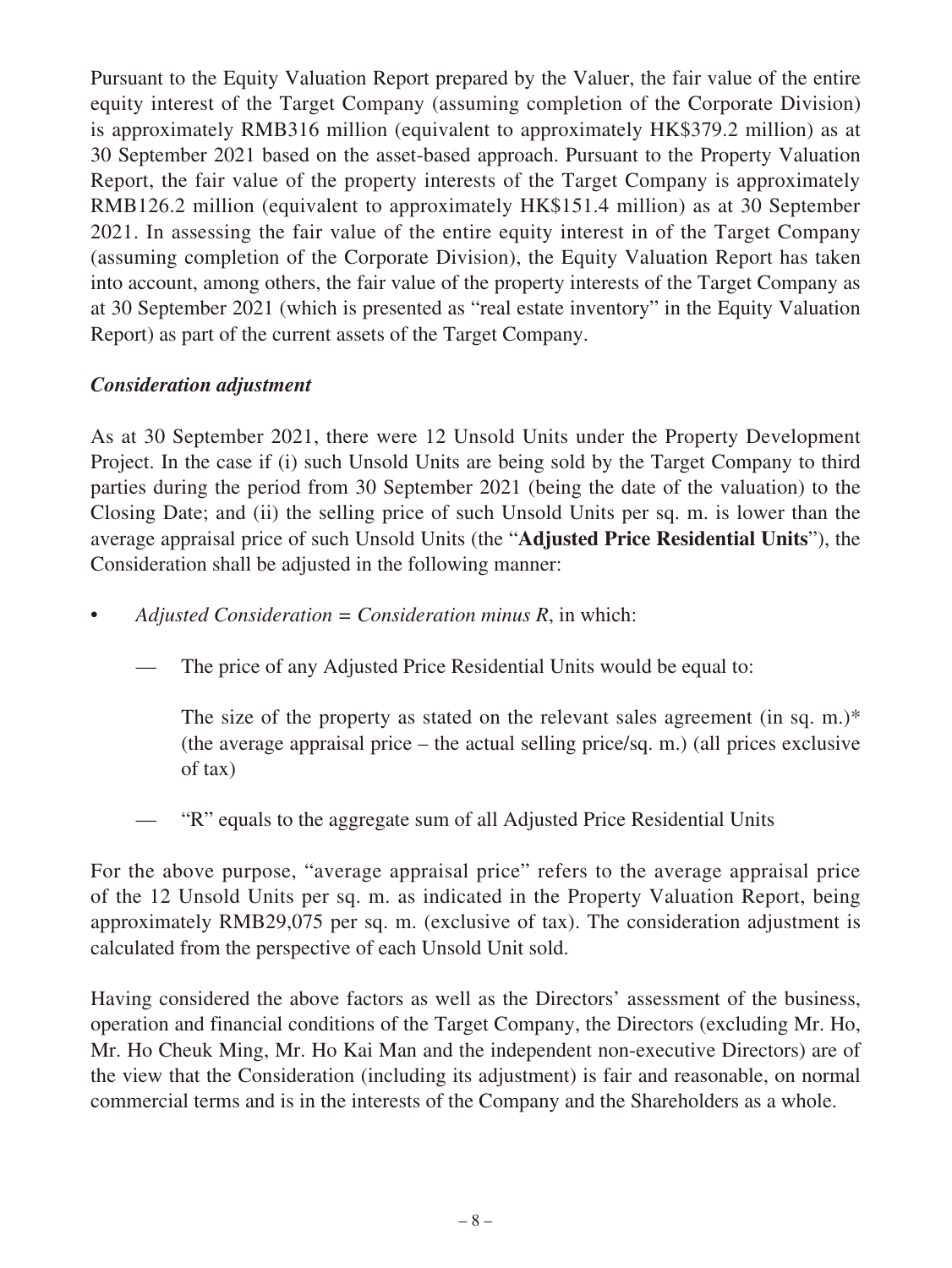Pursuant to the Equity Valuation Report prepared by the Valuer, the fair value of the entire equity interest of the Target Company (assuming completion of the Corporate Division) is approximately RMB316 million (equivalent to approximately HK\$379.2 million) as at 30 September 2021 based on the asset-based approach. Pursuant to the Property Valuation Report, the fair value of the property interests of the Target Company is approximately RMB126.2 million (equivalent to approximately HK\$151.4 million) as at 30 September 2021. In assessing the fair value of the entire equity interest in of the Target Company (assuming completion of the Corporate Division), the Equity Valuation Report has taken into account, among others, the fair value of the property interests of the Target Company as at 30 September 2021 (which is presented as "real estate inventory" in the Equity Valuation Report) as part of the current assets of the Target Company.

### *Consideration adjustment*

As at 30 September 2021, there were 12 Unsold Units under the Property Development Project. In the case if (i) such Unsold Units are being sold by the Target Company to third parties during the period from 30 September 2021 (being the date of the valuation) to the Closing Date; and (ii) the selling price of such Unsold Units per sq. m. is lower than the average appraisal price of such Unsold Units (the "**Adjusted Price Residential Units**"), the Consideration shall be adjusted in the following manner:

- *Adjusted Consideration = Consideration minus R*, in which:
	- The price of any Adjusted Price Residential Units would be equal to:

The size of the property as stated on the relevant sales agreement (in sq. m.)\* (the average appraisal price – the actual selling price/sq. m.) (all prices exclusive of tax)

"R" equals to the aggregate sum of all Adjusted Price Residential Units

For the above purpose, "average appraisal price" refers to the average appraisal price of the 12 Unsold Units per sq. m. as indicated in the Property Valuation Report, being approximately RMB29,075 per sq. m. (exclusive of tax). The consideration adjustment is calculated from the perspective of each Unsold Unit sold.

Having considered the above factors as well as the Directors' assessment of the business, operation and financial conditions of the Target Company, the Directors (excluding Mr. Ho, Mr. Ho Cheuk Ming, Mr. Ho Kai Man and the independent non-executive Directors) are of the view that the Consideration (including its adjustment) is fair and reasonable, on normal commercial terms and is in the interests of the Company and the Shareholders as a whole.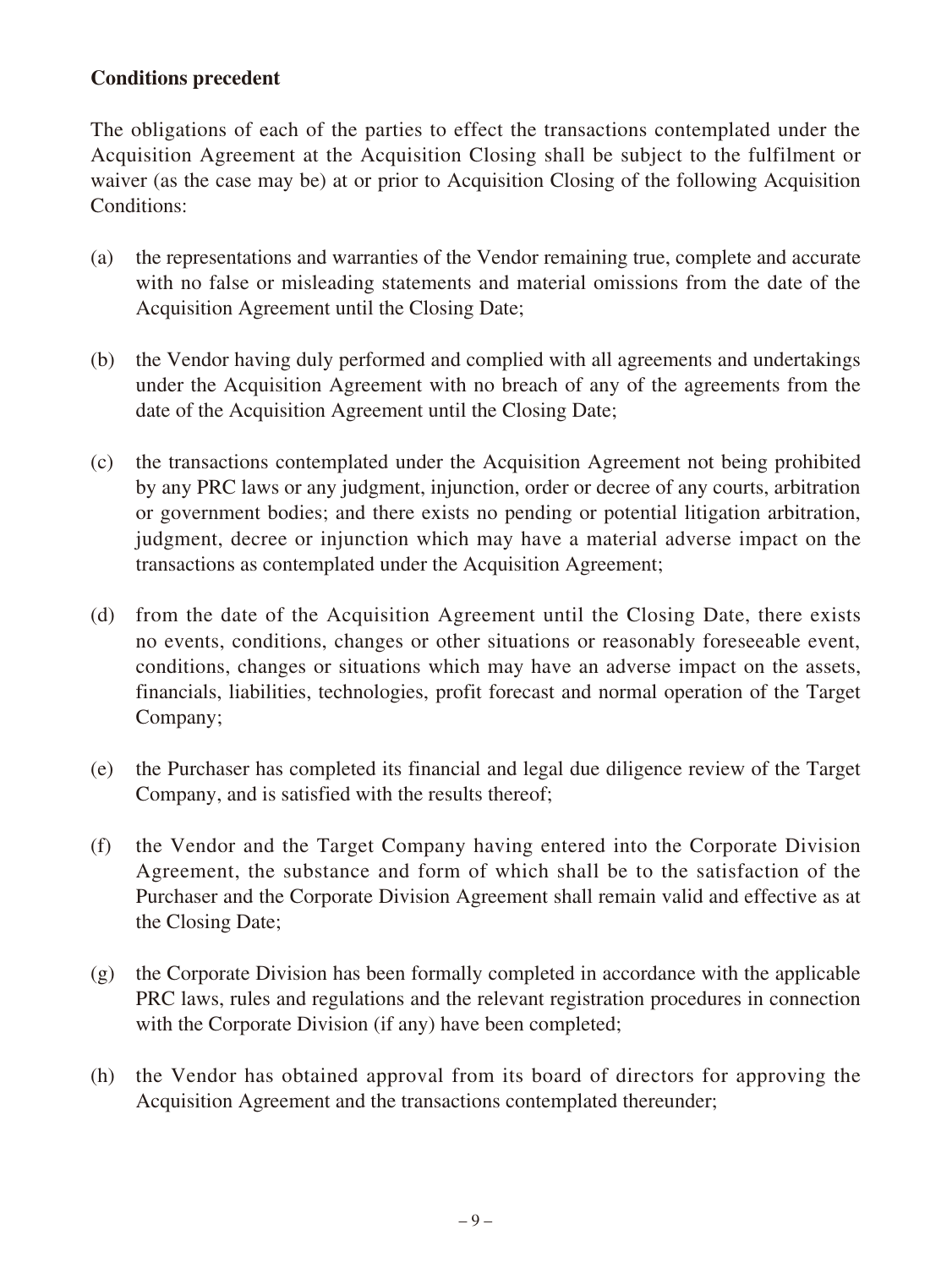### **Conditions precedent**

The obligations of each of the parties to effect the transactions contemplated under the Acquisition Agreement at the Acquisition Closing shall be subject to the fulfilment or waiver (as the case may be) at or prior to Acquisition Closing of the following Acquisition Conditions:

- (a) the representations and warranties of the Vendor remaining true, complete and accurate with no false or misleading statements and material omissions from the date of the Acquisition Agreement until the Closing Date;
- (b) the Vendor having duly performed and complied with all agreements and undertakings under the Acquisition Agreement with no breach of any of the agreements from the date of the Acquisition Agreement until the Closing Date;
- (c) the transactions contemplated under the Acquisition Agreement not being prohibited by any PRC laws or any judgment, injunction, order or decree of any courts, arbitration or government bodies; and there exists no pending or potential litigation arbitration, judgment, decree or injunction which may have a material adverse impact on the transactions as contemplated under the Acquisition Agreement;
- (d) from the date of the Acquisition Agreement until the Closing Date, there exists no events, conditions, changes or other situations or reasonably foreseeable event, conditions, changes or situations which may have an adverse impact on the assets, financials, liabilities, technologies, profit forecast and normal operation of the Target Company;
- (e) the Purchaser has completed its financial and legal due diligence review of the Target Company, and is satisfied with the results thereof;
- (f) the Vendor and the Target Company having entered into the Corporate Division Agreement, the substance and form of which shall be to the satisfaction of the Purchaser and the Corporate Division Agreement shall remain valid and effective as at the Closing Date;
- (g) the Corporate Division has been formally completed in accordance with the applicable PRC laws, rules and regulations and the relevant registration procedures in connection with the Corporate Division (if any) have been completed;
- (h) the Vendor has obtained approval from its board of directors for approving the Acquisition Agreement and the transactions contemplated thereunder;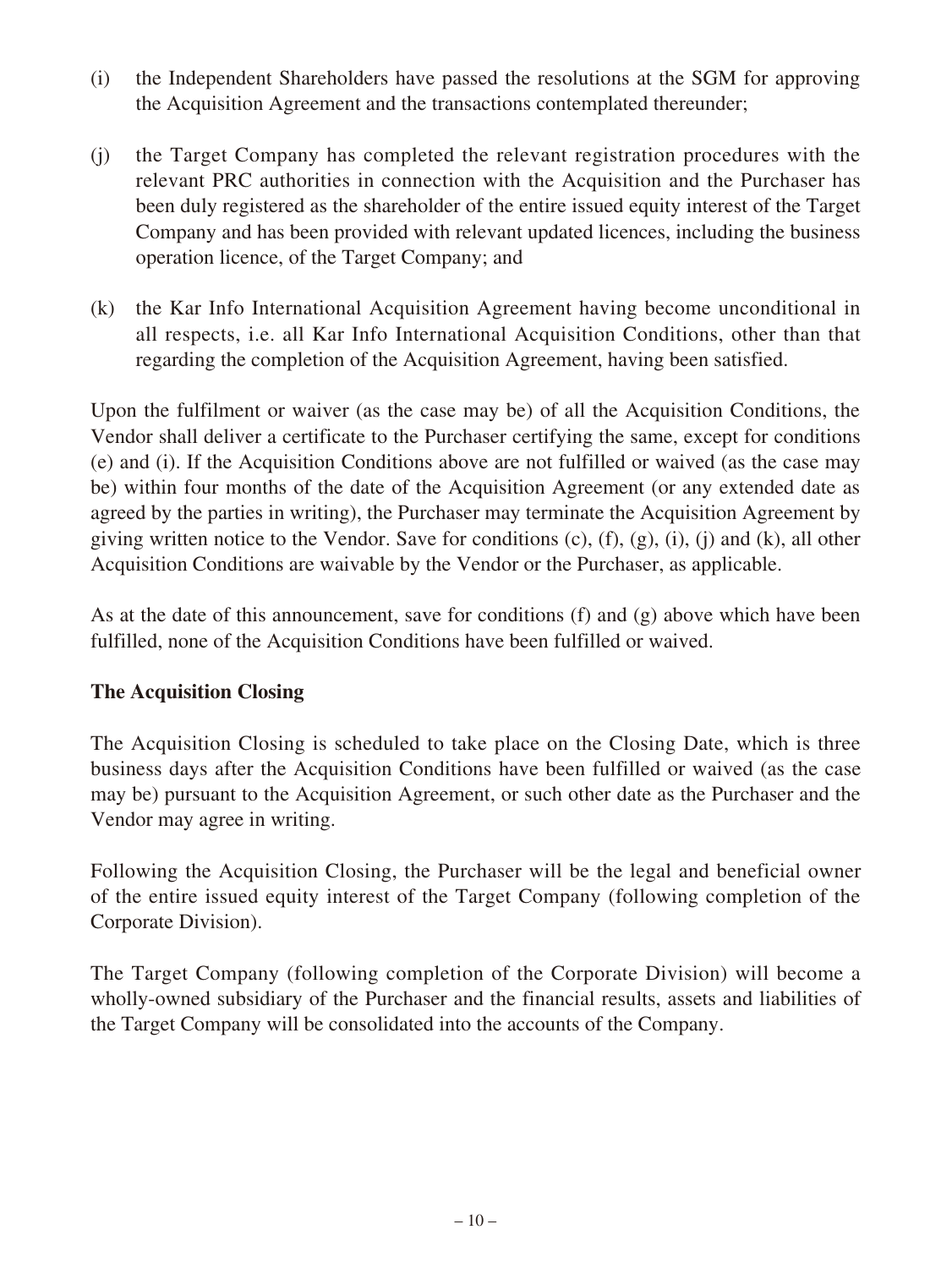- (i) the Independent Shareholders have passed the resolutions at the SGM for approving the Acquisition Agreement and the transactions contemplated thereunder;
- (j) the Target Company has completed the relevant registration procedures with the relevant PRC authorities in connection with the Acquisition and the Purchaser has been duly registered as the shareholder of the entire issued equity interest of the Target Company and has been provided with relevant updated licences, including the business operation licence, of the Target Company; and
- (k) the Kar Info International Acquisition Agreement having become unconditional in all respects, i.e. all Kar Info International Acquisition Conditions, other than that regarding the completion of the Acquisition Agreement, having been satisfied.

Upon the fulfilment or waiver (as the case may be) of all the Acquisition Conditions, the Vendor shall deliver a certificate to the Purchaser certifying the same, except for conditions (e) and (i). If the Acquisition Conditions above are not fulfilled or waived (as the case may be) within four months of the date of the Acquisition Agreement (or any extended date as agreed by the parties in writing), the Purchaser may terminate the Acquisition Agreement by giving written notice to the Vendor. Save for conditions (c), (f), (g), (i), (j) and (k), all other Acquisition Conditions are waivable by the Vendor or the Purchaser, as applicable.

As at the date of this announcement, save for conditions (f) and (g) above which have been fulfilled, none of the Acquisition Conditions have been fulfilled or waived.

### **The Acquisition Closing**

The Acquisition Closing is scheduled to take place on the Closing Date, which is three business days after the Acquisition Conditions have been fulfilled or waived (as the case may be) pursuant to the Acquisition Agreement, or such other date as the Purchaser and the Vendor may agree in writing.

Following the Acquisition Closing, the Purchaser will be the legal and beneficial owner of the entire issued equity interest of the Target Company (following completion of the Corporate Division).

The Target Company (following completion of the Corporate Division) will become a wholly-owned subsidiary of the Purchaser and the financial results, assets and liabilities of the Target Company will be consolidated into the accounts of the Company.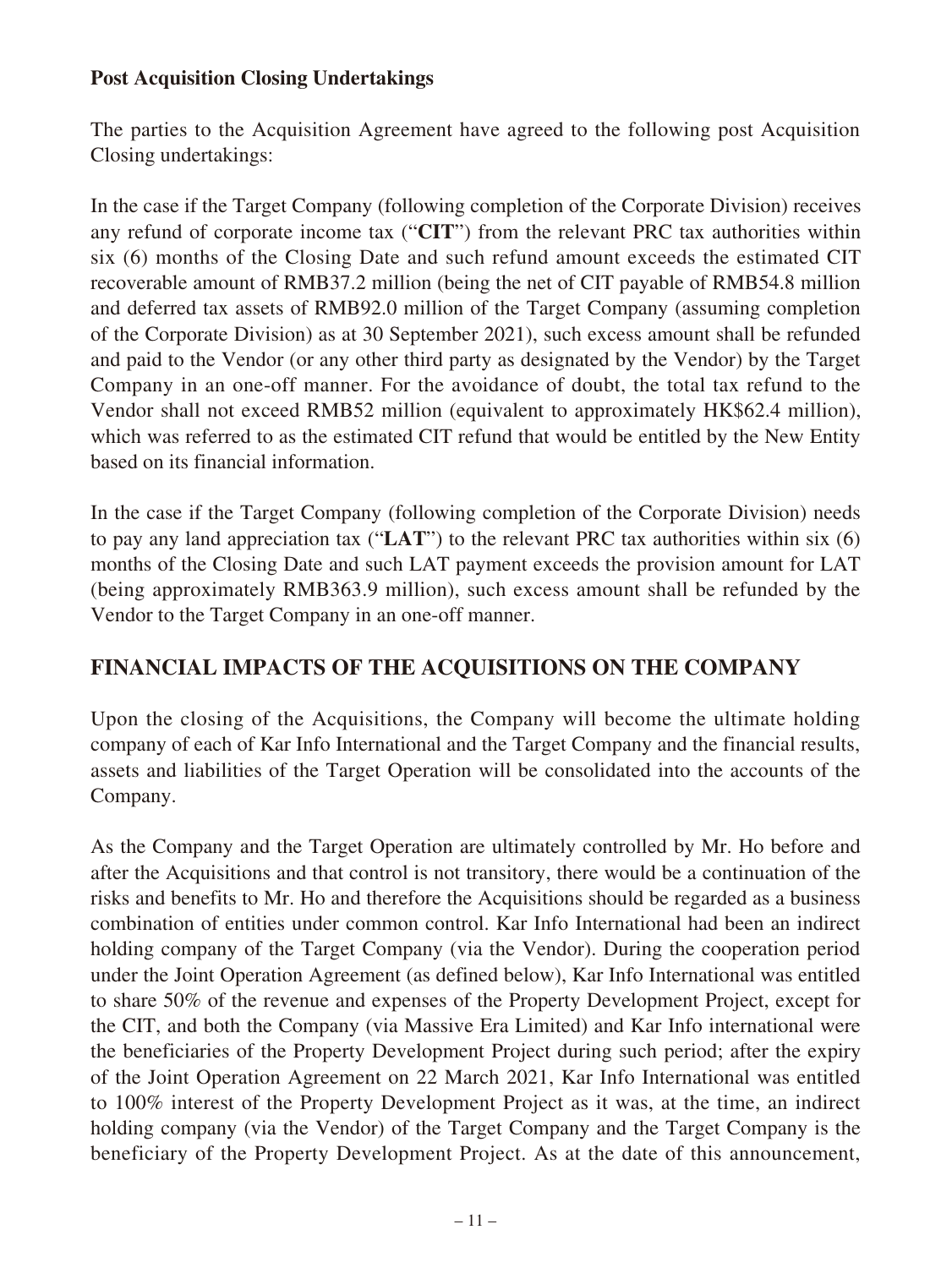### **Post Acquisition Closing Undertakings**

The parties to the Acquisition Agreement have agreed to the following post Acquisition Closing undertakings:

In the case if the Target Company (following completion of the Corporate Division) receives any refund of corporate income tax ("**CIT**") from the relevant PRC tax authorities within six (6) months of the Closing Date and such refund amount exceeds the estimated CIT recoverable amount of RMB37.2 million (being the net of CIT payable of RMB54.8 million and deferred tax assets of RMB92.0 million of the Target Company (assuming completion of the Corporate Division) as at 30 September 2021), such excess amount shall be refunded and paid to the Vendor (or any other third party as designated by the Vendor) by the Target Company in an one-off manner. For the avoidance of doubt, the total tax refund to the Vendor shall not exceed RMB52 million (equivalent to approximately HK\$62.4 million), which was referred to as the estimated CIT refund that would be entitled by the New Entity based on its financial information.

In the case if the Target Company (following completion of the Corporate Division) needs to pay any land appreciation tax ("**LAT**") to the relevant PRC tax authorities within six (6) months of the Closing Date and such LAT payment exceeds the provision amount for LAT (being approximately RMB363.9 million), such excess amount shall be refunded by the Vendor to the Target Company in an one-off manner.

### **FINANCIAL IMPACTS OF THE ACQUISITIONS ON THE COMPANY**

Upon the closing of the Acquisitions, the Company will become the ultimate holding company of each of Kar Info International and the Target Company and the financial results, assets and liabilities of the Target Operation will be consolidated into the accounts of the Company.

As the Company and the Target Operation are ultimately controlled by Mr. Ho before and after the Acquisitions and that control is not transitory, there would be a continuation of the risks and benefits to Mr. Ho and therefore the Acquisitions should be regarded as a business combination of entities under common control. Kar Info International had been an indirect holding company of the Target Company (via the Vendor). During the cooperation period under the Joint Operation Agreement (as defined below), Kar Info International was entitled to share 50% of the revenue and expenses of the Property Development Project, except for the CIT, and both the Company (via Massive Era Limited) and Kar Info international were the beneficiaries of the Property Development Project during such period; after the expiry of the Joint Operation Agreement on 22 March 2021, Kar Info International was entitled to 100% interest of the Property Development Project as it was, at the time, an indirect holding company (via the Vendor) of the Target Company and the Target Company is the beneficiary of the Property Development Project. As at the date of this announcement,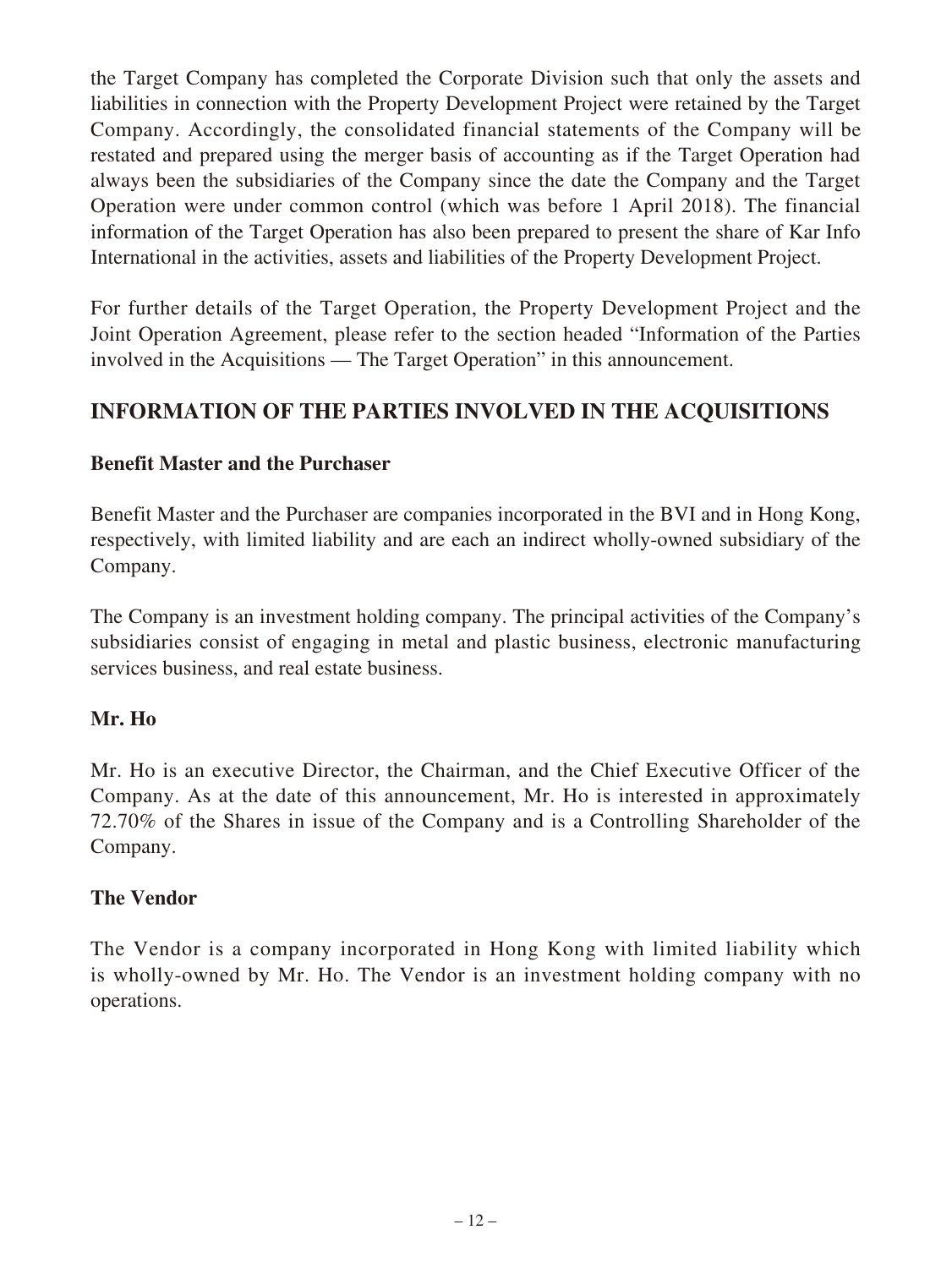the Target Company has completed the Corporate Division such that only the assets and liabilities in connection with the Property Development Project were retained by the Target Company. Accordingly, the consolidated financial statements of the Company will be restated and prepared using the merger basis of accounting as if the Target Operation had always been the subsidiaries of the Company since the date the Company and the Target Operation were under common control (which was before 1 April 2018). The financial information of the Target Operation has also been prepared to present the share of Kar Info International in the activities, assets and liabilities of the Property Development Project.

For further details of the Target Operation, the Property Development Project and the Joint Operation Agreement, please refer to the section headed "Information of the Parties involved in the Acquisitions — The Target Operation" in this announcement.

## **INFORMATION OF THE PARTIES INVOLVED IN THE ACQUISITIONS**

### **Benefit Master and the Purchaser**

Benefit Master and the Purchaser are companies incorporated in the BVI and in Hong Kong, respectively, with limited liability and are each an indirect wholly-owned subsidiary of the Company.

The Company is an investment holding company. The principal activities of the Company's subsidiaries consist of engaging in metal and plastic business, electronic manufacturing services business, and real estate business.

### **Mr. Ho**

Mr. Ho is an executive Director, the Chairman, and the Chief Executive Officer of the Company. As at the date of this announcement, Mr. Ho is interested in approximately 72.70% of the Shares in issue of the Company and is a Controlling Shareholder of the Company.

### **The Vendor**

The Vendor is a company incorporated in Hong Kong with limited liability which is wholly-owned by Mr. Ho. The Vendor is an investment holding company with no operations.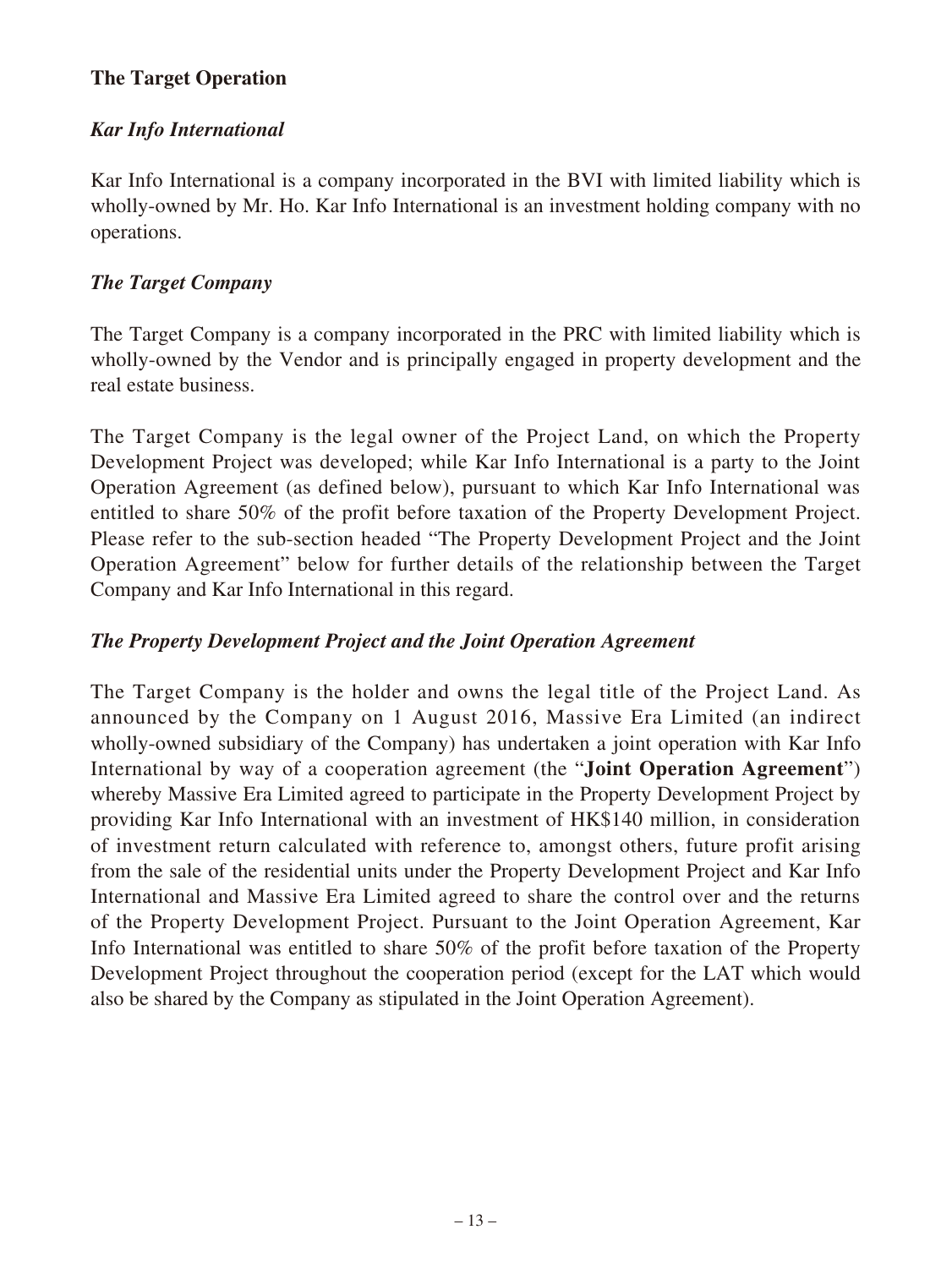### **The Target Operation**

### *Kar Info International*

Kar Info International is a company incorporated in the BVI with limited liability which is wholly-owned by Mr. Ho. Kar Info International is an investment holding company with no operations.

### *The Target Company*

The Target Company is a company incorporated in the PRC with limited liability which is wholly-owned by the Vendor and is principally engaged in property development and the real estate business.

The Target Company is the legal owner of the Project Land, on which the Property Development Project was developed; while Kar Info International is a party to the Joint Operation Agreement (as defined below), pursuant to which Kar Info International was entitled to share 50% of the profit before taxation of the Property Development Project. Please refer to the sub-section headed "The Property Development Project and the Joint Operation Agreement" below for further details of the relationship between the Target Company and Kar Info International in this regard.

### *The Property Development Project and the Joint Operation Agreement*

The Target Company is the holder and owns the legal title of the Project Land. As announced by the Company on 1 August 2016, Massive Era Limited (an indirect wholly-owned subsidiary of the Company) has undertaken a joint operation with Kar Info International by way of a cooperation agreement (the "**Joint Operation Agreement**") whereby Massive Era Limited agreed to participate in the Property Development Project by providing Kar Info International with an investment of HK\$140 million, in consideration of investment return calculated with reference to, amongst others, future profit arising from the sale of the residential units under the Property Development Project and Kar Info International and Massive Era Limited agreed to share the control over and the returns of the Property Development Project. Pursuant to the Joint Operation Agreement, Kar Info International was entitled to share 50% of the profit before taxation of the Property Development Project throughout the cooperation period (except for the LAT which would also be shared by the Company as stipulated in the Joint Operation Agreement).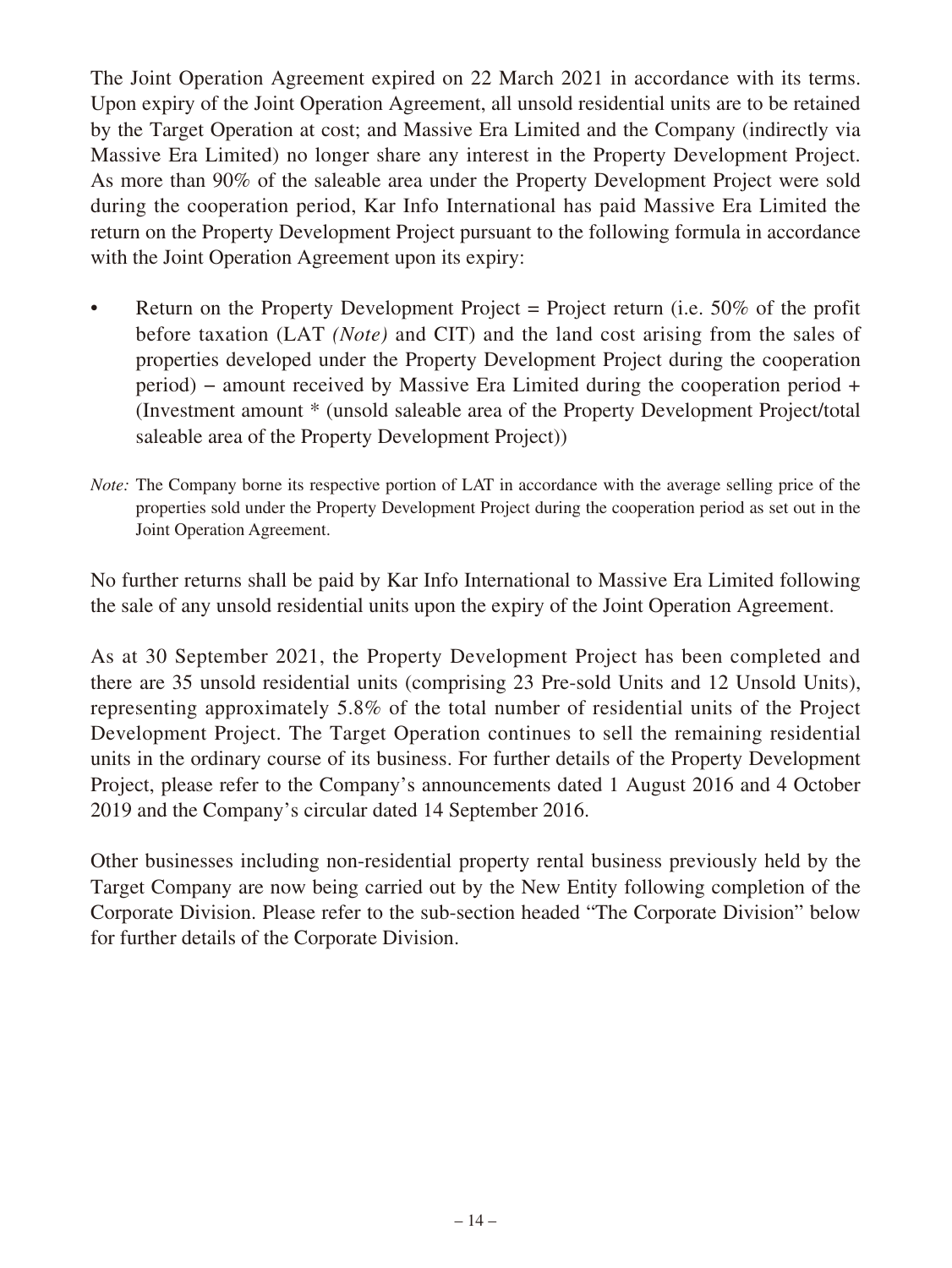The Joint Operation Agreement expired on 22 March 2021 in accordance with its terms. Upon expiry of the Joint Operation Agreement, all unsold residential units are to be retained by the Target Operation at cost; and Massive Era Limited and the Company (indirectly via Massive Era Limited) no longer share any interest in the Property Development Project. As more than 90% of the saleable area under the Property Development Project were sold during the cooperation period, Kar Info International has paid Massive Era Limited the return on the Property Development Project pursuant to the following formula in accordance with the Joint Operation Agreement upon its expiry:

- Return on the Property Development Project = Project return (i.e.  $50\%$  of the profit before taxation (LAT *(Note)* and CIT) and the land cost arising from the sales of properties developed under the Property Development Project during the cooperation period) – amount received by Massive Era Limited during the cooperation period + (Investment amount \* (unsold saleable area of the Property Development Project/total saleable area of the Property Development Project))
- *Note:* The Company borne its respective portion of LAT in accordance with the average selling price of the properties sold under the Property Development Project during the cooperation period as set out in the Joint Operation Agreement.

No further returns shall be paid by Kar Info International to Massive Era Limited following the sale of any unsold residential units upon the expiry of the Joint Operation Agreement.

As at 30 September 2021, the Property Development Project has been completed and there are 35 unsold residential units (comprising 23 Pre-sold Units and 12 Unsold Units), representing approximately 5.8% of the total number of residential units of the Project Development Project. The Target Operation continues to sell the remaining residential units in the ordinary course of its business. For further details of the Property Development Project, please refer to the Company's announcements dated 1 August 2016 and 4 October 2019 and the Company's circular dated 14 September 2016.

Other businesses including non-residential property rental business previously held by the Target Company are now being carried out by the New Entity following completion of the Corporate Division. Please refer to the sub-section headed "The Corporate Division" below for further details of the Corporate Division.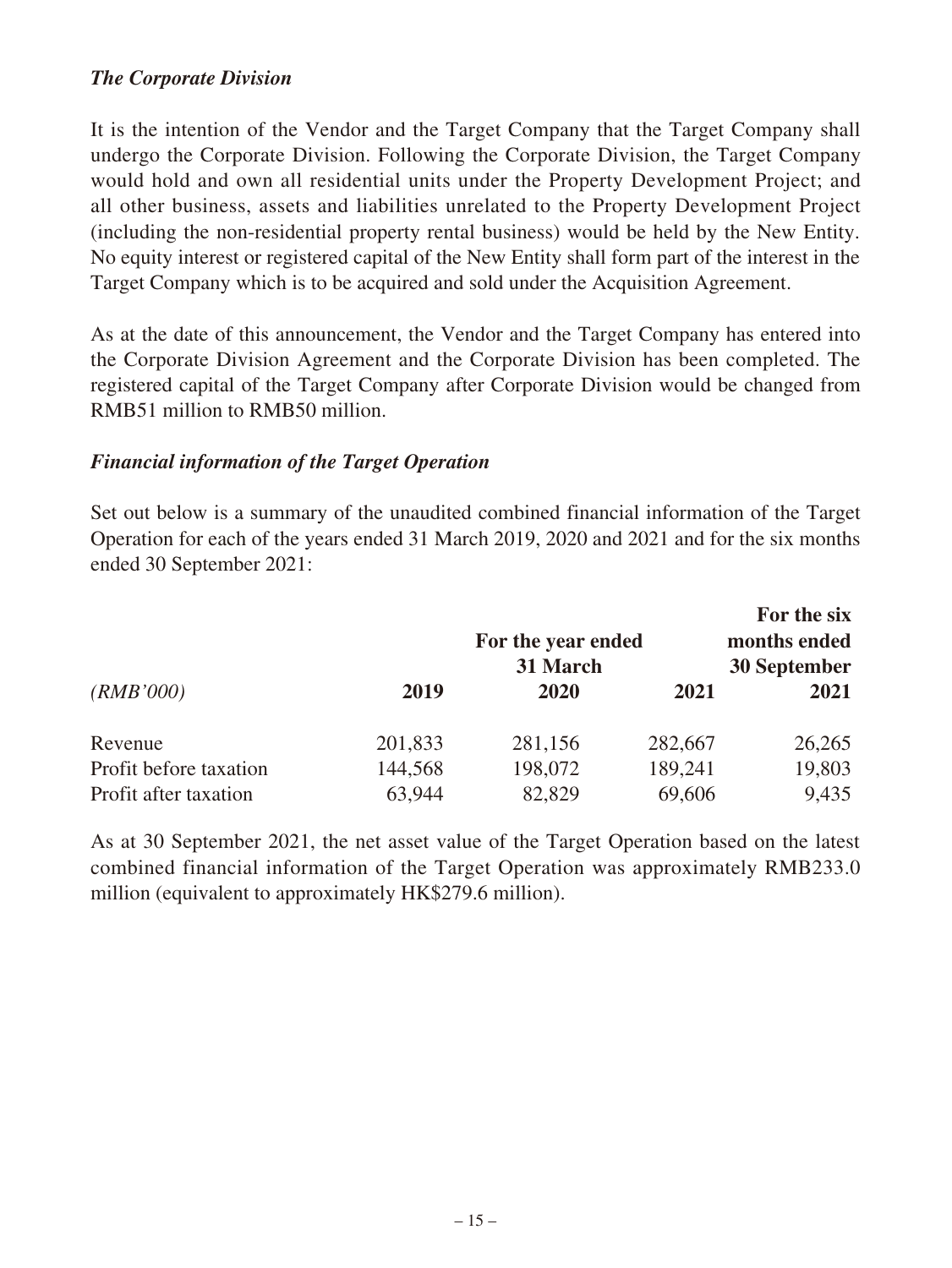### *The Corporate Division*

It is the intention of the Vendor and the Target Company that the Target Company shall undergo the Corporate Division. Following the Corporate Division, the Target Company would hold and own all residential units under the Property Development Project; and all other business, assets and liabilities unrelated to the Property Development Project (including the non-residential property rental business) would be held by the New Entity. No equity interest or registered capital of the New Entity shall form part of the interest in the Target Company which is to be acquired and sold under the Acquisition Agreement.

As at the date of this announcement, the Vendor and the Target Company has entered into the Corporate Division Agreement and the Corporate Division has been completed. The registered capital of the Target Company after Corporate Division would be changed from RMB51 million to RMB50 million.

#### *Financial information of the Target Operation*

Set out below is a summary of the unaudited combined financial information of the Target Operation for each of the years ended 31 March 2019, 2020 and 2021 and for the six months ended 30 September 2021:

|                        |         |                    |         | For the six         |
|------------------------|---------|--------------------|---------|---------------------|
|                        |         | For the year ended |         | months ended        |
|                        |         | 31 March           |         | <b>30 September</b> |
| (RMB'000)              | 2019    | 2020               | 2021    | 2021                |
| Revenue                | 201,833 | 281,156            | 282,667 | 26,265              |
| Profit before taxation | 144,568 | 198,072            | 189,241 | 19,803              |
| Profit after taxation  | 63,944  | 82,829             | 69,606  | 9,435               |

As at 30 September 2021, the net asset value of the Target Operation based on the latest combined financial information of the Target Operation was approximately RMB233.0 million (equivalent to approximately HK\$279.6 million).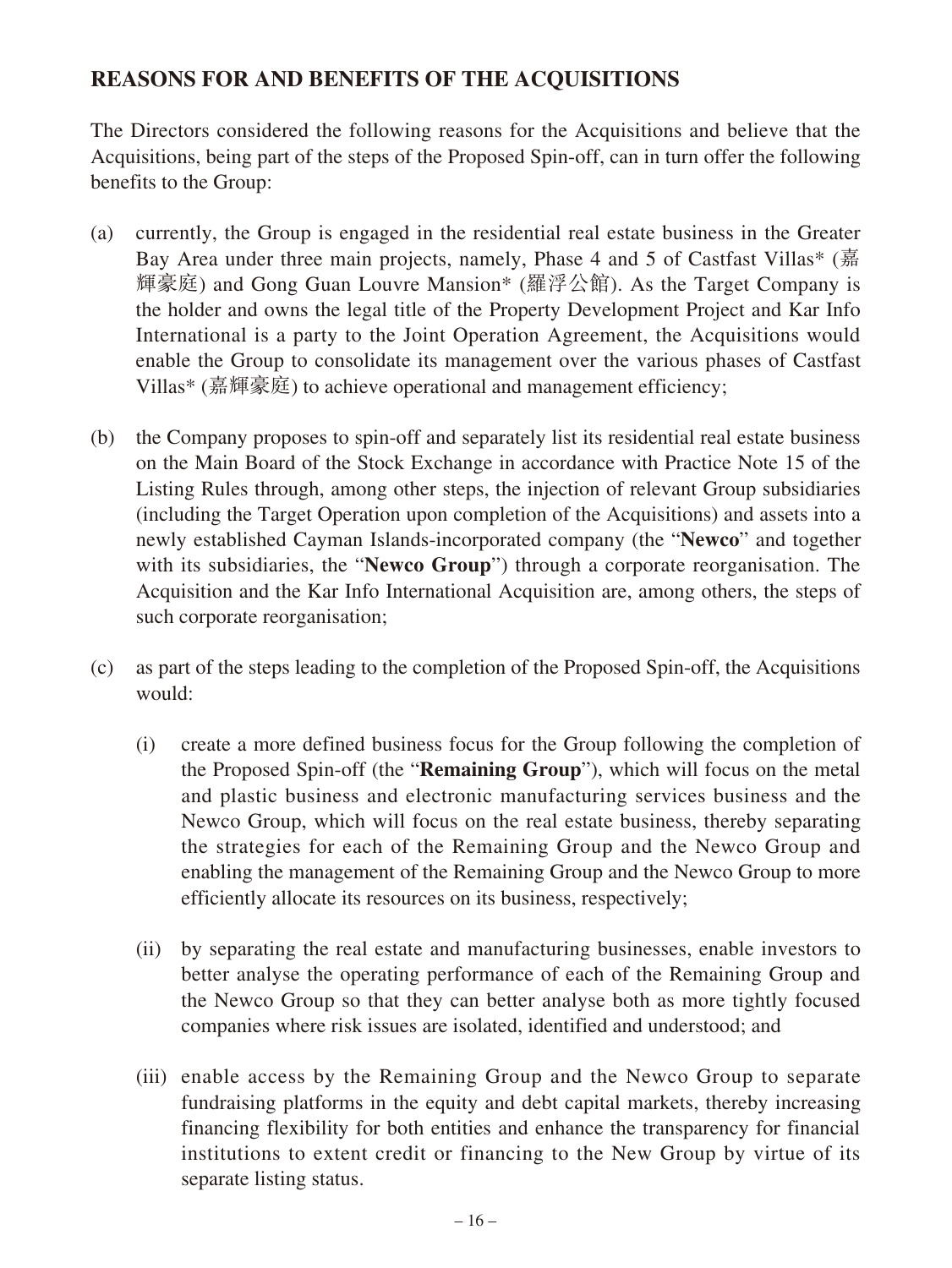### **REASONS FOR AND BENEFITS OF THE ACQUISITIONS**

The Directors considered the following reasons for the Acquisitions and believe that the Acquisitions, being part of the steps of the Proposed Spin-off, can in turn offer the following benefits to the Group:

- (a) currently, the Group is engaged in the residential real estate business in the Greater Bay Area under three main projects, namely, Phase 4 and 5 of Castfast Villas\* (嘉 輝豪庭) and Gong Guan Louvre Mansion\* (羅浮公館). As the Target Company is the holder and owns the legal title of the Property Development Project and Kar Info International is a party to the Joint Operation Agreement, the Acquisitions would enable the Group to consolidate its management over the various phases of Castfast Villas\* (嘉輝豪庭) to achieve operational and management efficiency;
- (b) the Company proposes to spin-off and separately list its residential real estate business on the Main Board of the Stock Exchange in accordance with Practice Note 15 of the Listing Rules through, among other steps, the injection of relevant Group subsidiaries (including the Target Operation upon completion of the Acquisitions) and assets into a newly established Cayman Islands-incorporated company (the "**Newco**" and together with its subsidiaries, the "**Newco Group**") through a corporate reorganisation. The Acquisition and the Kar Info International Acquisition are, among others, the steps of such corporate reorganisation;
- (c) as part of the steps leading to the completion of the Proposed Spin-off, the Acquisitions would:
	- (i) create a more defined business focus for the Group following the completion of the Proposed Spin-off (the "**Remaining Group**"), which will focus on the metal and plastic business and electronic manufacturing services business and the Newco Group, which will focus on the real estate business, thereby separating the strategies for each of the Remaining Group and the Newco Group and enabling the management of the Remaining Group and the Newco Group to more efficiently allocate its resources on its business, respectively;
	- (ii) by separating the real estate and manufacturing businesses, enable investors to better analyse the operating performance of each of the Remaining Group and the Newco Group so that they can better analyse both as more tightly focused companies where risk issues are isolated, identified and understood; and
	- (iii) enable access by the Remaining Group and the Newco Group to separate fundraising platforms in the equity and debt capital markets, thereby increasing financing flexibility for both entities and enhance the transparency for financial institutions to extent credit or financing to the New Group by virtue of its separate listing status.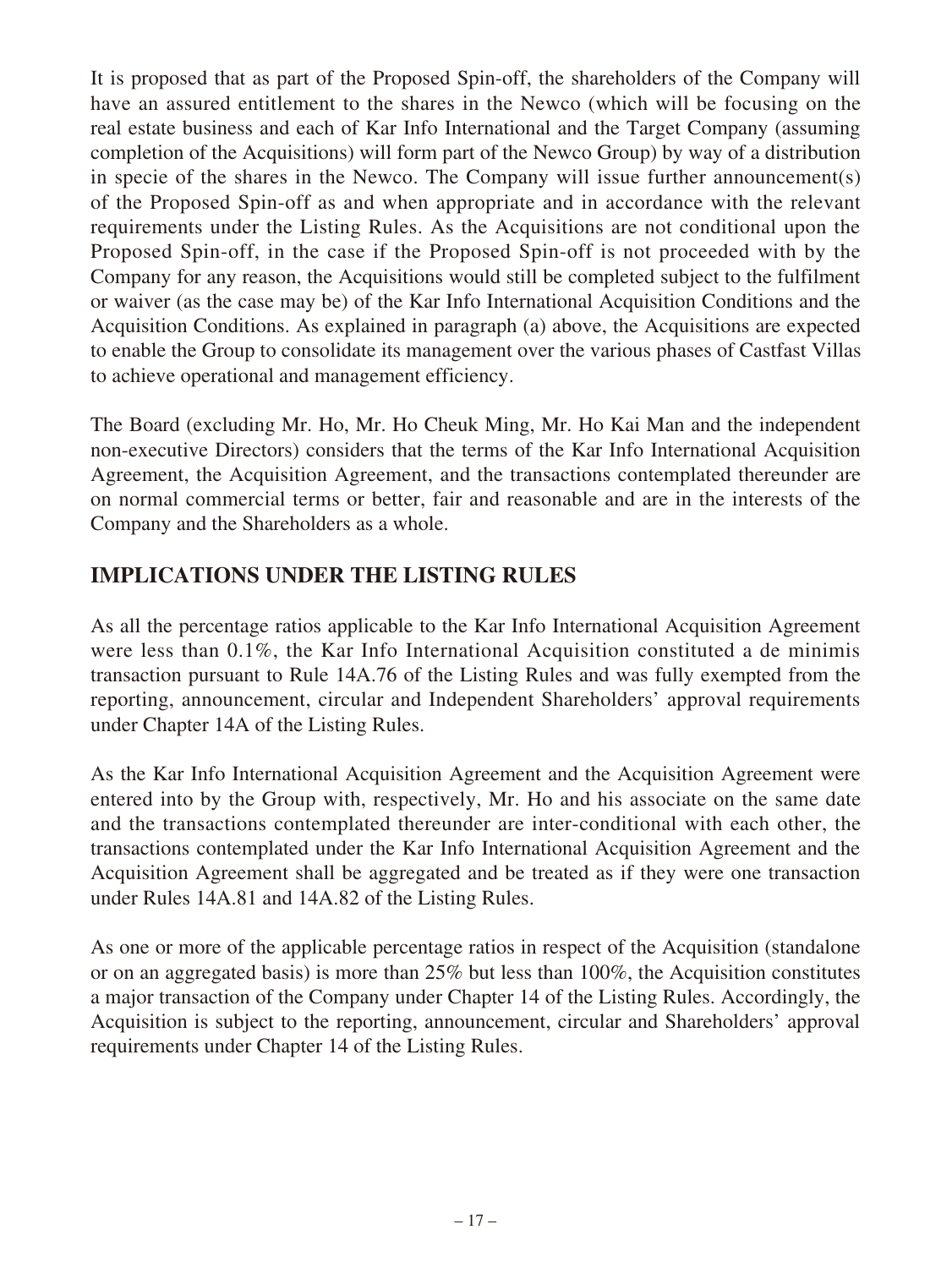It is proposed that as part of the Proposed Spin-off, the shareholders of the Company will have an assured entitlement to the shares in the Newco (which will be focusing on the real estate business and each of Kar Info International and the Target Company (assuming completion of the Acquisitions) will form part of the Newco Group) by way of a distribution in specie of the shares in the Newco. The Company will issue further announcement(s) of the Proposed Spin-off as and when appropriate and in accordance with the relevant requirements under the Listing Rules. As the Acquisitions are not conditional upon the Proposed Spin-off, in the case if the Proposed Spin-off is not proceeded with by the Company for any reason, the Acquisitions would still be completed subject to the fulfilment or waiver (as the case may be) of the Kar Info International Acquisition Conditions and the Acquisition Conditions. As explained in paragraph (a) above, the Acquisitions are expected to enable the Group to consolidate its management over the various phases of Castfast Villas to achieve operational and management efficiency.

The Board (excluding Mr. Ho, Mr. Ho Cheuk Ming, Mr. Ho Kai Man and the independent non-executive Directors) considers that the terms of the Kar Info International Acquisition Agreement, the Acquisition Agreement, and the transactions contemplated thereunder are on normal commercial terms or better, fair and reasonable and are in the interests of the Company and the Shareholders as a whole.

## **IMPLICATIONS UNDER THE LISTING RULES**

As all the percentage ratios applicable to the Kar Info International Acquisition Agreement were less than 0.1%, the Kar Info International Acquisition constituted a de minimis transaction pursuant to Rule 14A.76 of the Listing Rules and was fully exempted from the reporting, announcement, circular and Independent Shareholders' approval requirements under Chapter 14A of the Listing Rules.

As the Kar Info International Acquisition Agreement and the Acquisition Agreement were entered into by the Group with, respectively, Mr. Ho and his associate on the same date and the transactions contemplated thereunder are inter-conditional with each other, the transactions contemplated under the Kar Info International Acquisition Agreement and the Acquisition Agreement shall be aggregated and be treated as if they were one transaction under Rules 14A.81 and 14A.82 of the Listing Rules.

As one or more of the applicable percentage ratios in respect of the Acquisition (standalone or on an aggregated basis) is more than 25% but less than 100%, the Acquisition constitutes a major transaction of the Company under Chapter 14 of the Listing Rules. Accordingly, the Acquisition is subject to the reporting, announcement, circular and Shareholders' approval requirements under Chapter 14 of the Listing Rules.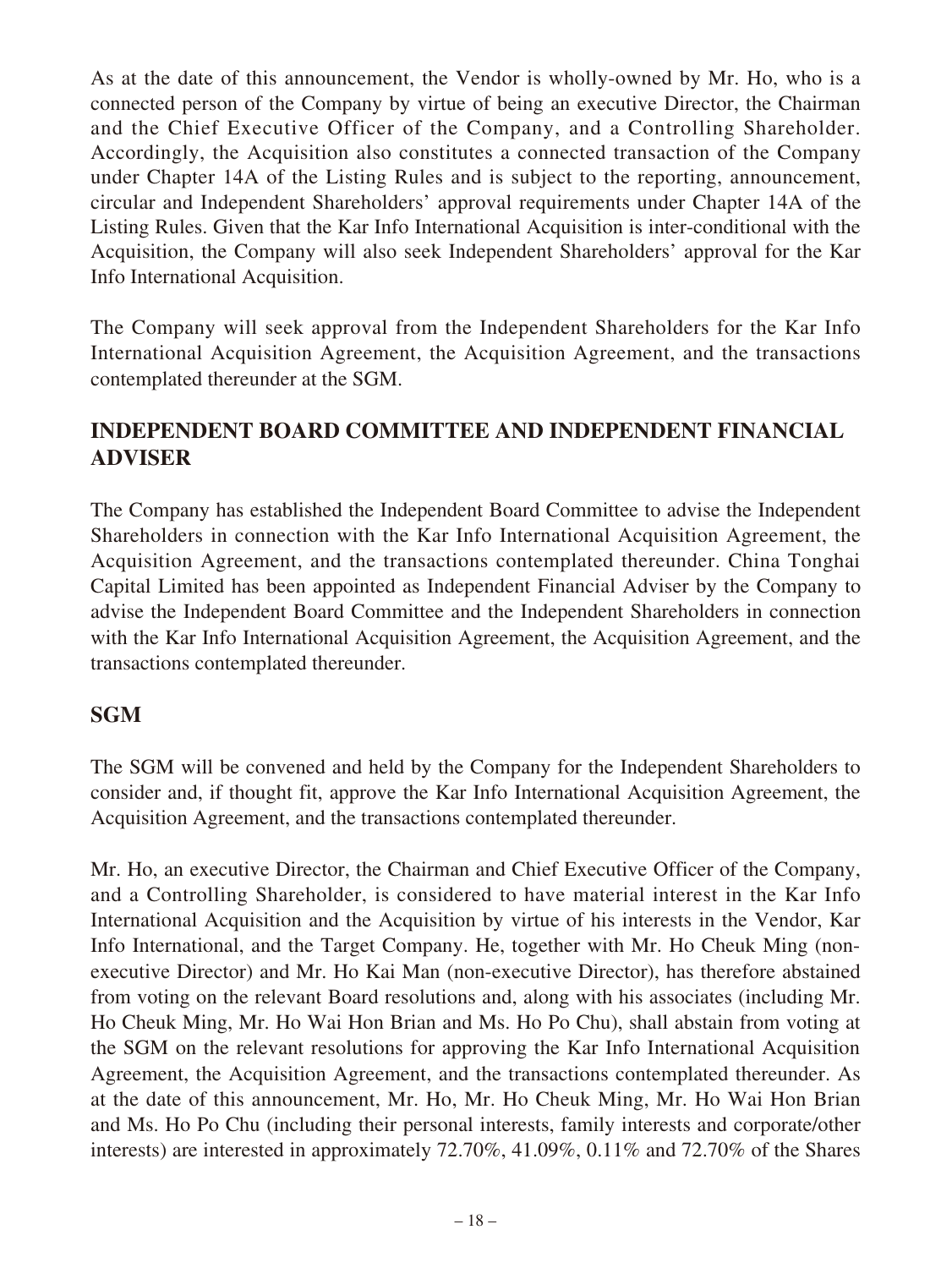As at the date of this announcement, the Vendor is wholly-owned by Mr. Ho, who is a connected person of the Company by virtue of being an executive Director, the Chairman and the Chief Executive Officer of the Company, and a Controlling Shareholder. Accordingly, the Acquisition also constitutes a connected transaction of the Company under Chapter 14A of the Listing Rules and is subject to the reporting, announcement, circular and Independent Shareholders' approval requirements under Chapter 14A of the Listing Rules. Given that the Kar Info International Acquisition is inter-conditional with the Acquisition, the Company will also seek Independent Shareholders' approval for the Kar Info International Acquisition.

The Company will seek approval from the Independent Shareholders for the Kar Info International Acquisition Agreement, the Acquisition Agreement, and the transactions contemplated thereunder at the SGM.

### **INDEPENDENT BOARD COMMITTEE AND INDEPENDENT FINANCIAL ADVISER**

The Company has established the Independent Board Committee to advise the Independent Shareholders in connection with the Kar Info International Acquisition Agreement, the Acquisition Agreement, and the transactions contemplated thereunder. China Tonghai Capital Limited has been appointed as Independent Financial Adviser by the Company to advise the Independent Board Committee and the Independent Shareholders in connection with the Kar Info International Acquisition Agreement, the Acquisition Agreement, and the transactions contemplated thereunder.

### **SGM**

The SGM will be convened and held by the Company for the Independent Shareholders to consider and, if thought fit, approve the Kar Info International Acquisition Agreement, the Acquisition Agreement, and the transactions contemplated thereunder.

Mr. Ho, an executive Director, the Chairman and Chief Executive Officer of the Company, and a Controlling Shareholder, is considered to have material interest in the Kar Info International Acquisition and the Acquisition by virtue of his interests in the Vendor, Kar Info International, and the Target Company. He, together with Mr. Ho Cheuk Ming (nonexecutive Director) and Mr. Ho Kai Man (non-executive Director), has therefore abstained from voting on the relevant Board resolutions and, along with his associates (including Mr. Ho Cheuk Ming, Mr. Ho Wai Hon Brian and Ms. Ho Po Chu), shall abstain from voting at the SGM on the relevant resolutions for approving the Kar Info International Acquisition Agreement, the Acquisition Agreement, and the transactions contemplated thereunder. As at the date of this announcement, Mr. Ho, Mr. Ho Cheuk Ming, Mr. Ho Wai Hon Brian and Ms. Ho Po Chu (including their personal interests, family interests and corporate/other interests) are interested in approximately 72.70%, 41.09%, 0.11% and 72.70% of the Shares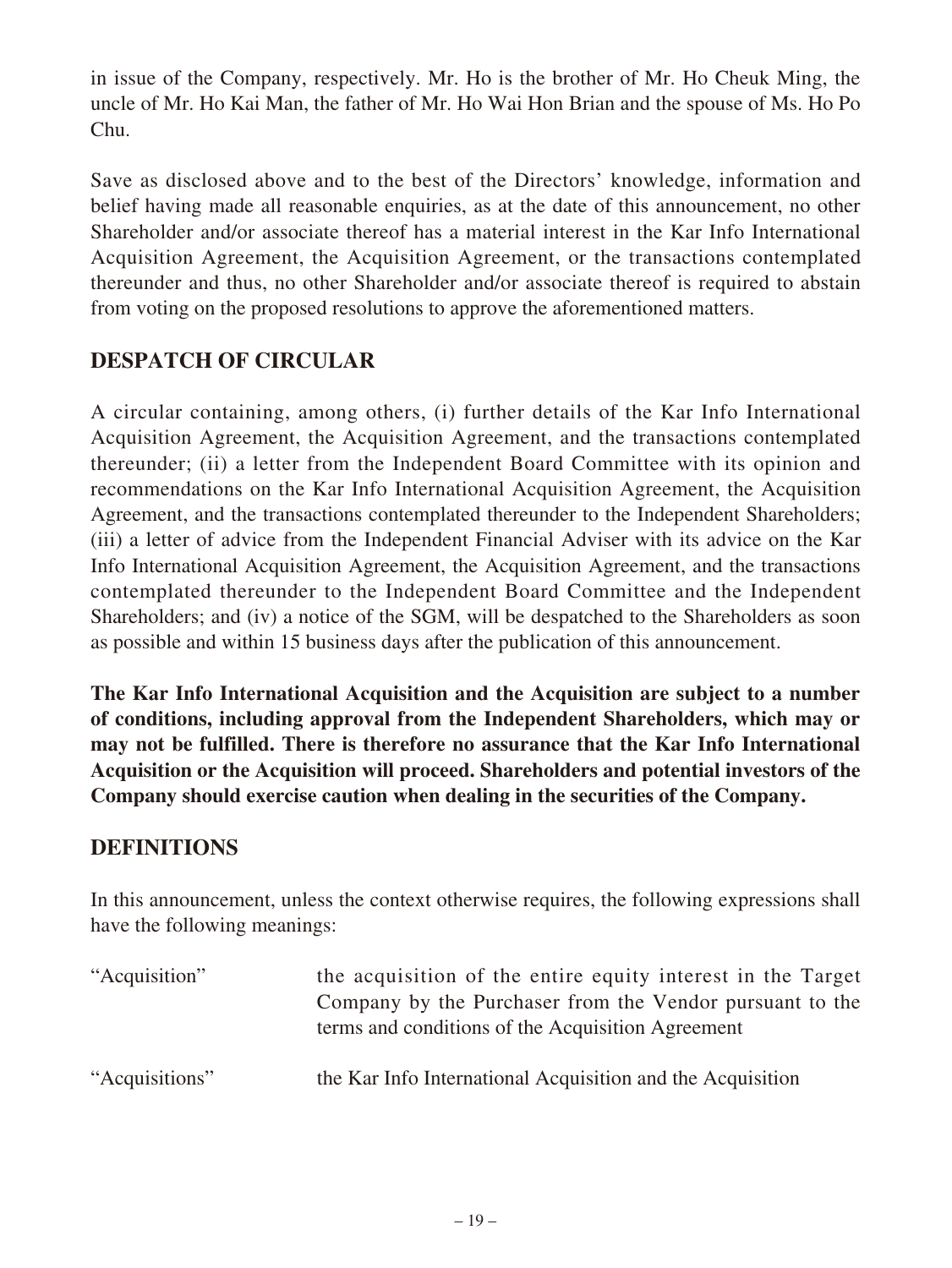in issue of the Company, respectively. Mr. Ho is the brother of Mr. Ho Cheuk Ming, the uncle of Mr. Ho Kai Man, the father of Mr. Ho Wai Hon Brian and the spouse of Ms. Ho Po Chu.

Save as disclosed above and to the best of the Directors' knowledge, information and belief having made all reasonable enquiries, as at the date of this announcement, no other Shareholder and/or associate thereof has a material interest in the Kar Info International Acquisition Agreement, the Acquisition Agreement, or the transactions contemplated thereunder and thus, no other Shareholder and/or associate thereof is required to abstain from voting on the proposed resolutions to approve the aforementioned matters.

## **DESPATCH OF CIRCULAR**

A circular containing, among others, (i) further details of the Kar Info International Acquisition Agreement, the Acquisition Agreement, and the transactions contemplated thereunder; (ii) a letter from the Independent Board Committee with its opinion and recommendations on the Kar Info International Acquisition Agreement, the Acquisition Agreement, and the transactions contemplated thereunder to the Independent Shareholders; (iii) a letter of advice from the Independent Financial Adviser with its advice on the Kar Info International Acquisition Agreement, the Acquisition Agreement, and the transactions contemplated thereunder to the Independent Board Committee and the Independent Shareholders; and (iv) a notice of the SGM, will be despatched to the Shareholders as soon as possible and within 15 business days after the publication of this announcement.

**The Kar Info International Acquisition and the Acquisition are subject to a number of conditions, including approval from the Independent Shareholders, which may or may not be fulfilled. There is therefore no assurance that the Kar Info International Acquisition or the Acquisition will proceed. Shareholders and potential investors of the Company should exercise caution when dealing in the securities of the Company.**

### **DEFINITIONS**

In this announcement, unless the context otherwise requires, the following expressions shall have the following meanings:

| "Acquisition"  | the acquisition of the entire equity interest in the Target<br>Company by the Purchaser from the Vendor pursuant to the<br>terms and conditions of the Acquisition Agreement |
|----------------|------------------------------------------------------------------------------------------------------------------------------------------------------------------------------|
| "Acquisitions" | the Kar Info International Acquisition and the Acquisition                                                                                                                   |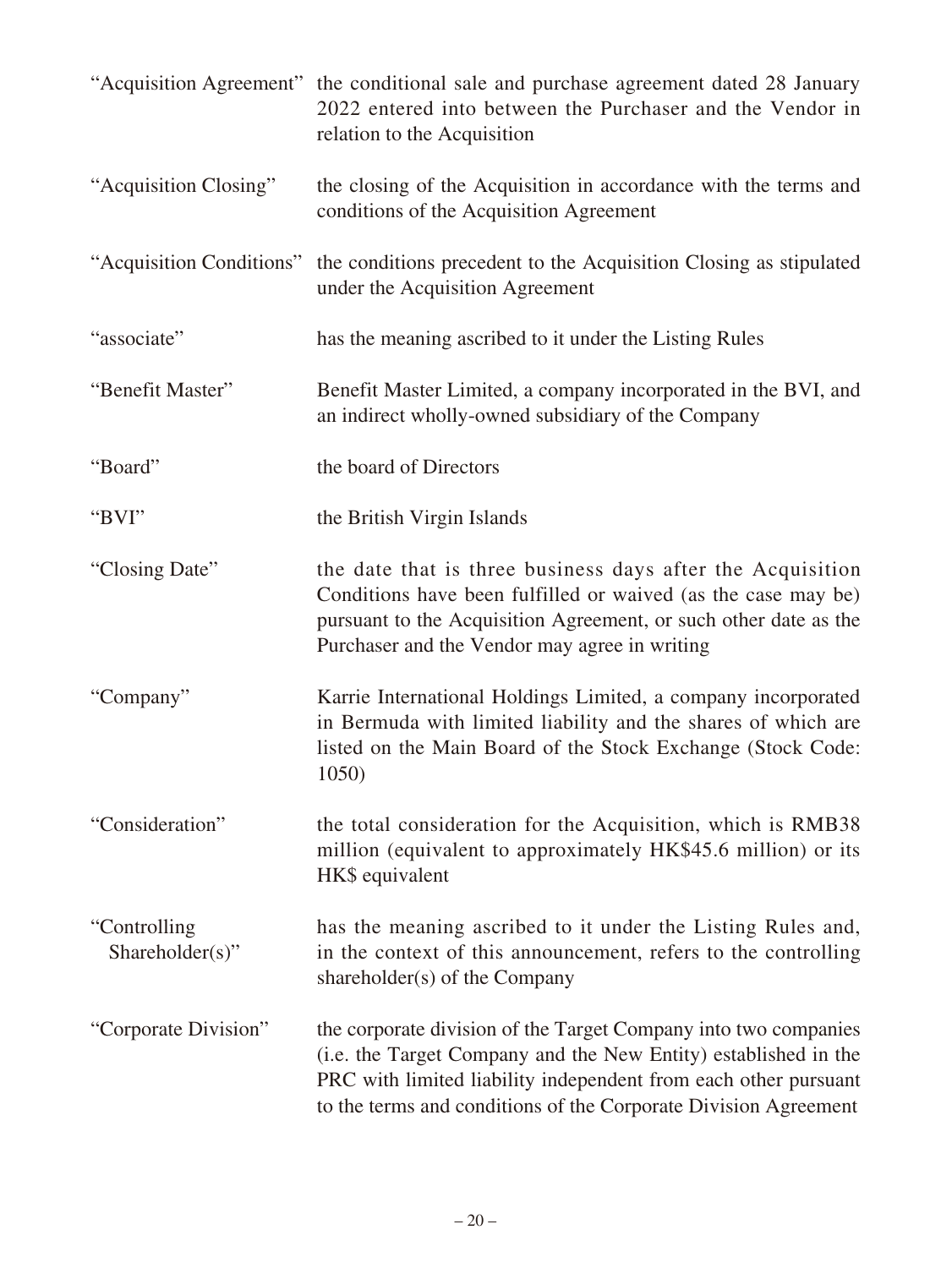|                                  | "Acquisition Agreement" the conditional sale and purchase agreement dated 28 January<br>2022 entered into between the Purchaser and the Vendor in<br>relation to the Acquisition                                                                                         |
|----------------------------------|--------------------------------------------------------------------------------------------------------------------------------------------------------------------------------------------------------------------------------------------------------------------------|
| "Acquisition Closing"            | the closing of the Acquisition in accordance with the terms and<br>conditions of the Acquisition Agreement                                                                                                                                                               |
|                                  | "Acquisition Conditions" the conditions precedent to the Acquisition Closing as stipulated<br>under the Acquisition Agreement                                                                                                                                            |
| "associate"                      | has the meaning ascribed to it under the Listing Rules                                                                                                                                                                                                                   |
| "Benefit Master"                 | Benefit Master Limited, a company incorporated in the BVI, and<br>an indirect wholly-owned subsidiary of the Company                                                                                                                                                     |
| "Board"                          | the board of Directors                                                                                                                                                                                                                                                   |
| "BVI"                            | the British Virgin Islands                                                                                                                                                                                                                                               |
| "Closing Date"                   | the date that is three business days after the Acquisition<br>Conditions have been fulfilled or waived (as the case may be)<br>pursuant to the Acquisition Agreement, or such other date as the<br>Purchaser and the Vendor may agree in writing                         |
| "Company"                        | Karrie International Holdings Limited, a company incorporated<br>in Bermuda with limited liability and the shares of which are<br>listed on the Main Board of the Stock Exchange (Stock Code:<br>1050)                                                                   |
| "Consideration"                  | the total consideration for the Acquisition, which is RMB38<br>million (equivalent to approximately HK\$45.6 million) or its<br>HK\$ equivalent                                                                                                                          |
| "Controlling"<br>Shareholder(s)" | has the meaning ascribed to it under the Listing Rules and,<br>in the context of this announcement, refers to the controlling<br>shareholder(s) of the Company                                                                                                           |
| "Corporate Division"             | the corporate division of the Target Company into two companies<br>(i.e. the Target Company and the New Entity) established in the<br>PRC with limited liability independent from each other pursuant<br>to the terms and conditions of the Corporate Division Agreement |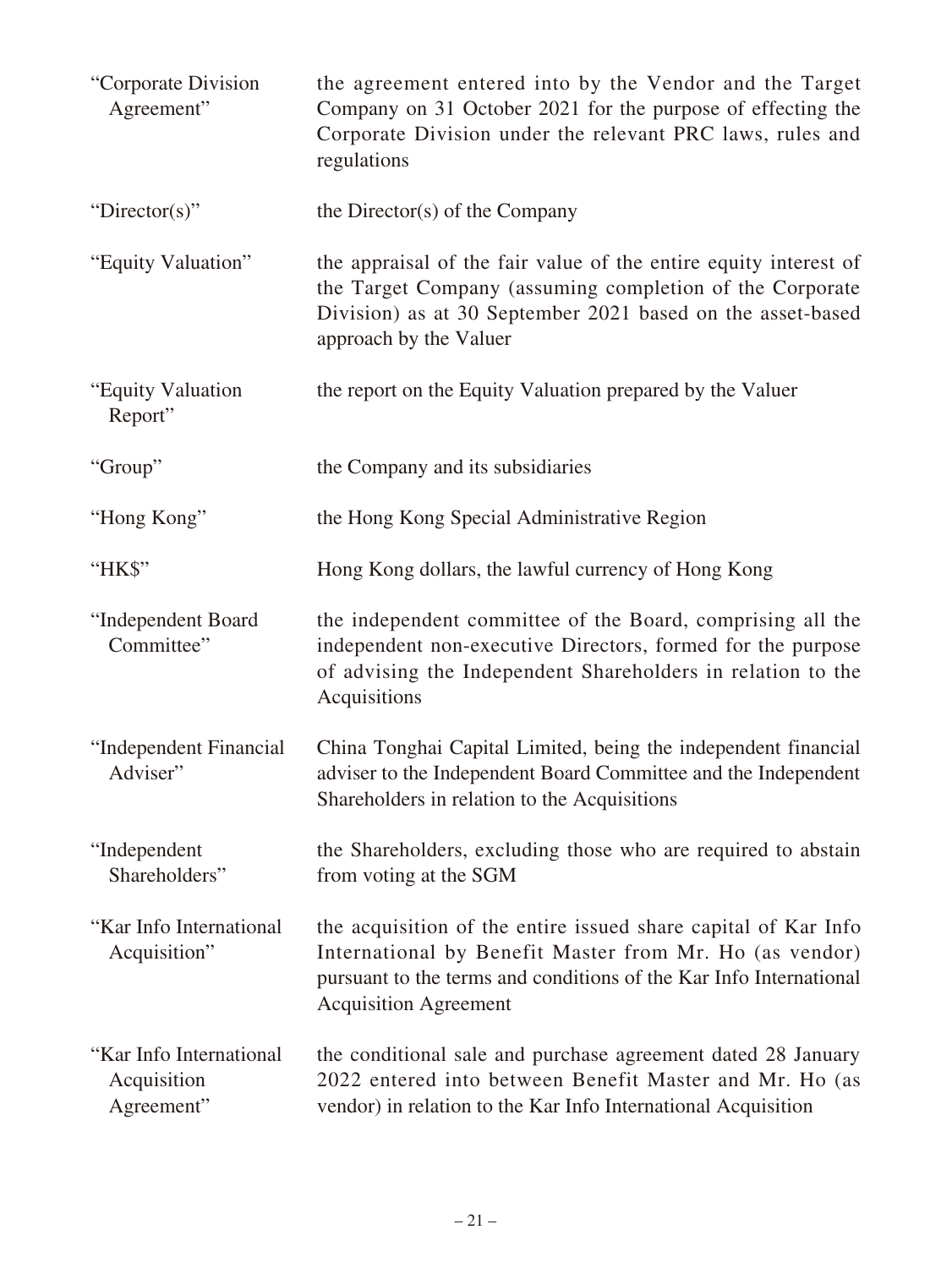| "Corporate Division"<br>Agreement"                   | the agreement entered into by the Vendor and the Target<br>Company on 31 October 2021 for the purpose of effecting the<br>Corporate Division under the relevant PRC laws, rules and<br>regulations                              |
|------------------------------------------------------|---------------------------------------------------------------------------------------------------------------------------------------------------------------------------------------------------------------------------------|
| "Director(s)"                                        | the Director(s) of the Company                                                                                                                                                                                                  |
| "Equity Valuation"                                   | the appraisal of the fair value of the entire equity interest of<br>the Target Company (assuming completion of the Corporate<br>Division) as at 30 September 2021 based on the asset-based<br>approach by the Valuer            |
| "Equity Valuation<br>Report"                         | the report on the Equity Valuation prepared by the Valuer                                                                                                                                                                       |
| "Group"                                              | the Company and its subsidiaries                                                                                                                                                                                                |
| "Hong Kong"                                          | the Hong Kong Special Administrative Region                                                                                                                                                                                     |
| "HK\$"                                               | Hong Kong dollars, the lawful currency of Hong Kong                                                                                                                                                                             |
| "Independent Board<br>Committee"                     | the independent committee of the Board, comprising all the<br>independent non-executive Directors, formed for the purpose<br>of advising the Independent Shareholders in relation to the<br>Acquisitions                        |
| "Independent Financial<br>Adviser"                   | China Tonghai Capital Limited, being the independent financial<br>adviser to the Independent Board Committee and the Independent<br>Shareholders in relation to the Acquisitions                                                |
| "Independent<br>Shareholders"                        | the Shareholders, excluding those who are required to abstain<br>from voting at the SGM                                                                                                                                         |
| "Kar Info International<br>Acquisition"              | the acquisition of the entire issued share capital of Kar Info<br>International by Benefit Master from Mr. Ho (as vendor)<br>pursuant to the terms and conditions of the Kar Info International<br><b>Acquisition Agreement</b> |
| "Kar Info International<br>Acquisition<br>Agreement" | the conditional sale and purchase agreement dated 28 January<br>2022 entered into between Benefit Master and Mr. Ho (as<br>vendor) in relation to the Kar Info International Acquisition                                        |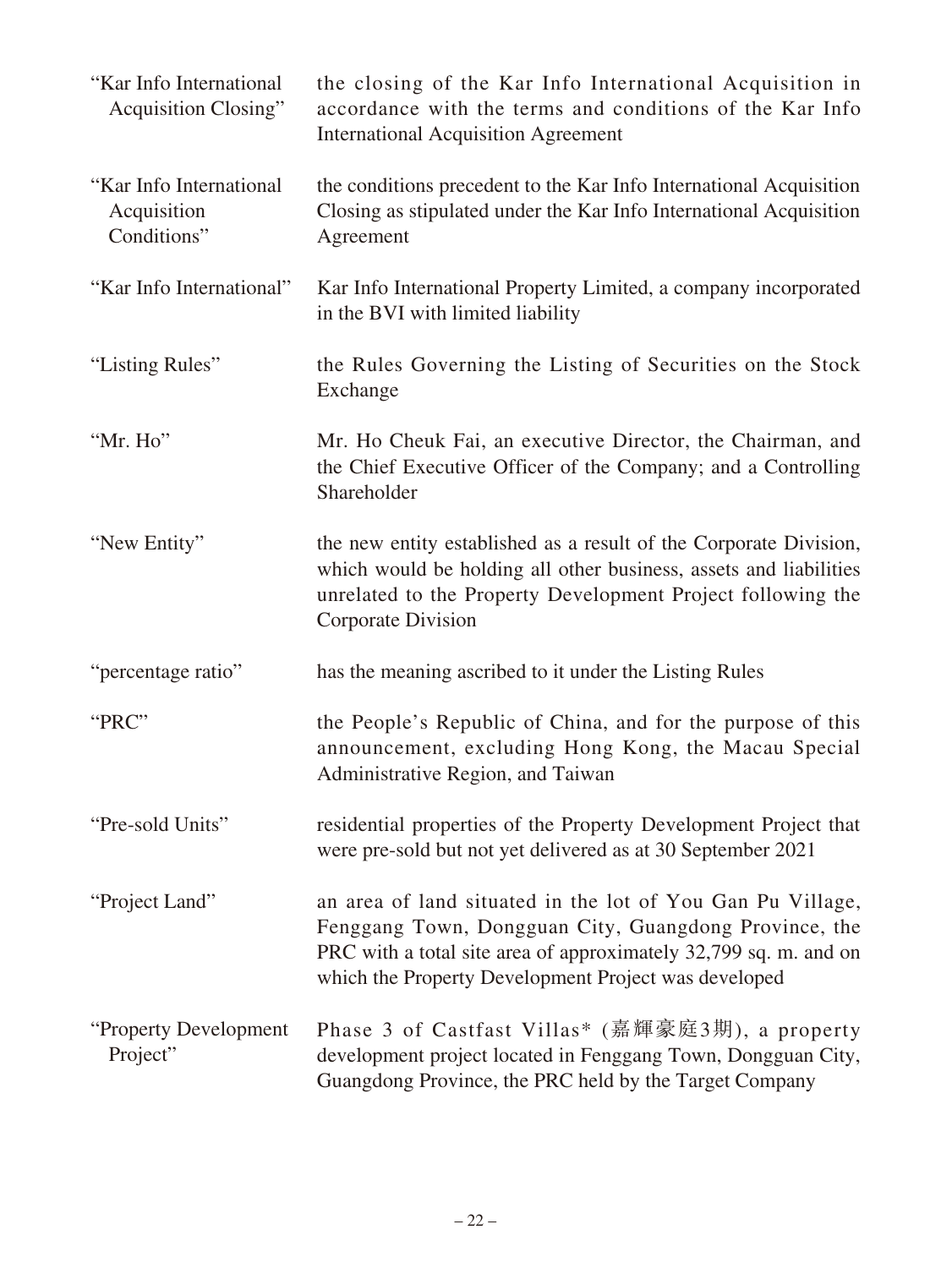| "Kar Info International<br><b>Acquisition Closing"</b> | the closing of the Kar Info International Acquisition in<br>accordance with the terms and conditions of the Kar Info<br><b>International Acquisition Agreement</b>                                                                              |
|--------------------------------------------------------|-------------------------------------------------------------------------------------------------------------------------------------------------------------------------------------------------------------------------------------------------|
| "Kar Info International<br>Acquisition<br>Conditions"  | the conditions precedent to the Kar Info International Acquisition<br>Closing as stipulated under the Kar Info International Acquisition<br>Agreement                                                                                           |
| "Kar Info International"                               | Kar Info International Property Limited, a company incorporated<br>in the BVI with limited liability                                                                                                                                            |
| "Listing Rules"                                        | the Rules Governing the Listing of Securities on the Stock<br>Exchange                                                                                                                                                                          |
| "Mr. Ho"                                               | Mr. Ho Cheuk Fai, an executive Director, the Chairman, and<br>the Chief Executive Officer of the Company; and a Controlling<br>Shareholder                                                                                                      |
| "New Entity"                                           | the new entity established as a result of the Corporate Division,<br>which would be holding all other business, assets and liabilities<br>unrelated to the Property Development Project following the<br><b>Corporate Division</b>              |
| "percentage ratio"                                     | has the meaning ascribed to it under the Listing Rules                                                                                                                                                                                          |
| "PRC"                                                  | the People's Republic of China, and for the purpose of this<br>announcement, excluding Hong Kong, the Macau Special<br>Administrative Region, and Taiwan                                                                                        |
| "Pre-sold Units"                                       | residential properties of the Property Development Project that<br>were pre-sold but not yet delivered as at 30 September 2021                                                                                                                  |
| "Project Land"                                         | an area of land situated in the lot of You Gan Pu Village,<br>Fenggang Town, Dongguan City, Guangdong Province, the<br>PRC with a total site area of approximately 32,799 sq. m. and on<br>which the Property Development Project was developed |
| "Property Development<br>Project"                      | Phase 3 of Castfast Villas* (嘉輝豪庭3期), a property<br>development project located in Fenggang Town, Dongguan City,<br>Guangdong Province, the PRC held by the Target Company                                                                      |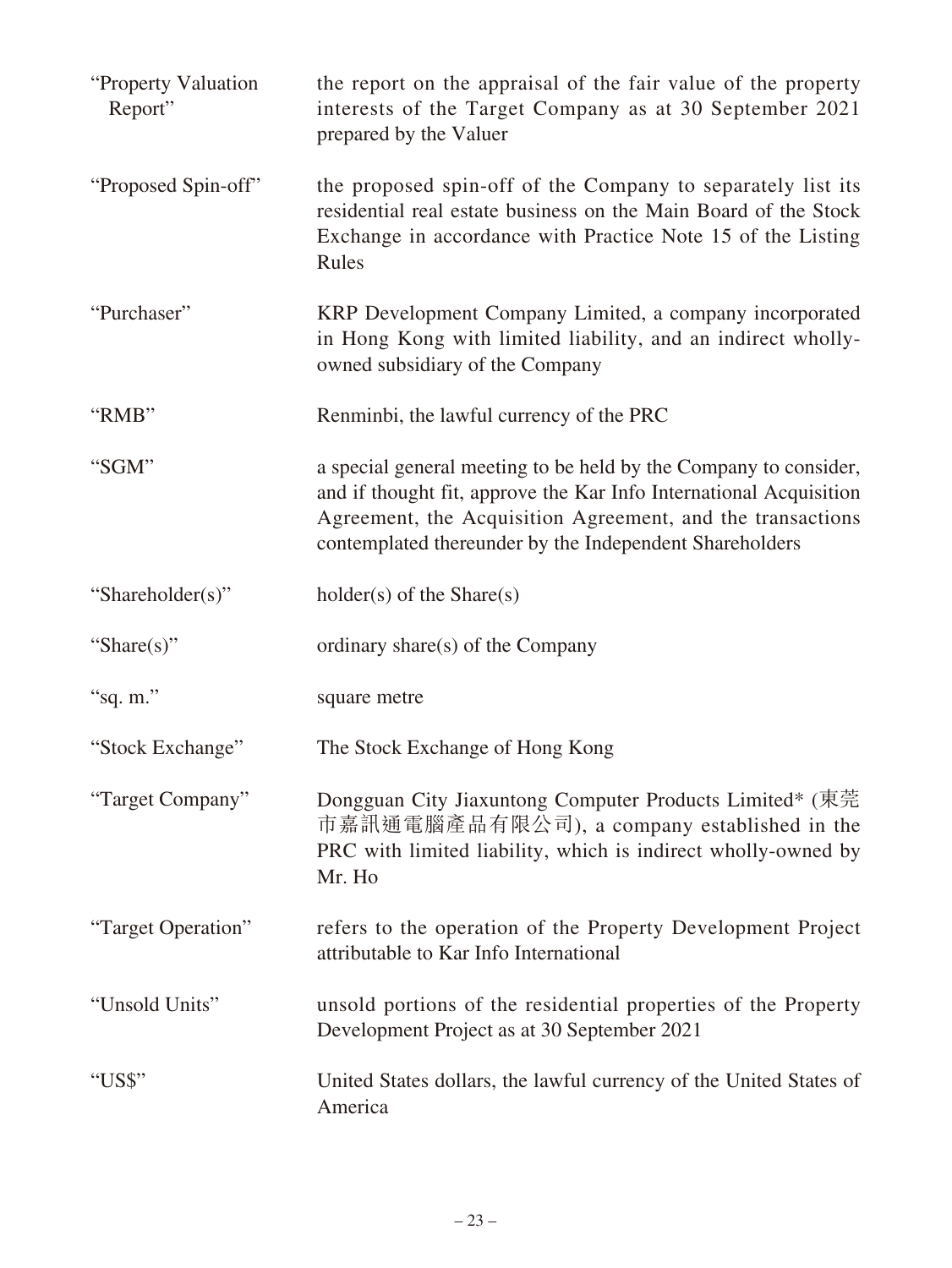| "Property Valuation"<br>Report" | the report on the appraisal of the fair value of the property<br>interests of the Target Company as at 30 September 2021<br>prepared by the Valuer                                                                                                              |
|---------------------------------|-----------------------------------------------------------------------------------------------------------------------------------------------------------------------------------------------------------------------------------------------------------------|
| "Proposed Spin-off"             | the proposed spin-off of the Company to separately list its<br>residential real estate business on the Main Board of the Stock<br>Exchange in accordance with Practice Note 15 of the Listing<br>Rules                                                          |
| "Purchaser"                     | KRP Development Company Limited, a company incorporated<br>in Hong Kong with limited liability, and an indirect wholly-<br>owned subsidiary of the Company                                                                                                      |
| "RMB"                           | Renminbi, the lawful currency of the PRC                                                                                                                                                                                                                        |
| "SGM"                           | a special general meeting to be held by the Company to consider,<br>and if thought fit, approve the Kar Info International Acquisition<br>Agreement, the Acquisition Agreement, and the transactions<br>contemplated thereunder by the Independent Shareholders |
| "Shareholder(s)"                | $holder(s)$ of the Share $(s)$                                                                                                                                                                                                                                  |
| "Share(s)"                      | ordinary share(s) of the Company                                                                                                                                                                                                                                |
| "sq. m."                        | square metre                                                                                                                                                                                                                                                    |
| "Stock Exchange"                | The Stock Exchange of Hong Kong                                                                                                                                                                                                                                 |
| "Target Company"                | Dongguan City Jiaxuntong Computer Products Limited* (東莞<br>市嘉訊通電腦產品有限公司), a company established in the<br>PRC with limited liability, which is indirect wholly-owned by<br>Mr. Ho                                                                               |
| "Target Operation"              | refers to the operation of the Property Development Project<br>attributable to Kar Info International                                                                                                                                                           |
| "Unsold Units"                  | unsold portions of the residential properties of the Property<br>Development Project as at 30 September 2021                                                                                                                                                    |
| "US\$"                          | United States dollars, the lawful currency of the United States of<br>America                                                                                                                                                                                   |